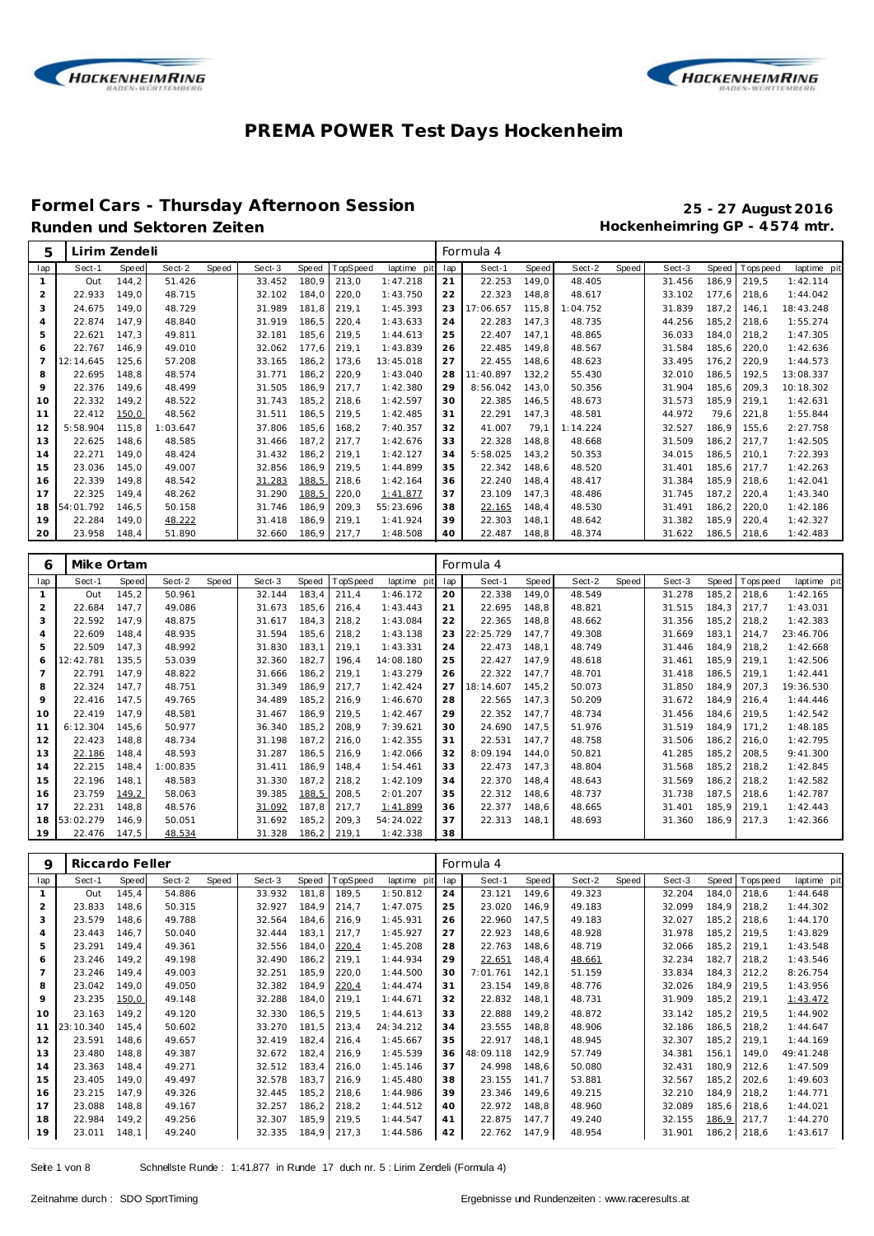



#### **Formel Cars - Thursday Afternoon Session 25 - 27 August 2016** Runden und Sektoren Zeiten **Munden und Sektoren Zeiten Hockenheimring GP** - 4574 mtr.

**18** 53:02.279 146,9 50.051 31.692 185,2 209,3 54:24.022<br>19 22.476 147,5 <u>48.534</u> 31.328 186,2 219,1 1:42.338

| 5              | Lirim Zendeli |       |          |       |        |                |                |                      |          | Formula 4        |                |          |       |        |              |             |             |
|----------------|---------------|-------|----------|-------|--------|----------------|----------------|----------------------|----------|------------------|----------------|----------|-------|--------|--------------|-------------|-------------|
| lap            | Sect-1        | Speed | Sect-2   | Speed | Sect-3 | Speed          | TopSpeed       | laptime pit          | lap      | Sect-1           | Speed          | Sect-2   | Speed | Sect-3 | <b>Speed</b> | T ops pee d | laptime pit |
| $\mathbf{1}$   | Out           | 144.2 | 51.426   |       | 33.452 | 180.9          | 213,0          | 1:47.218             | 21       | 22.253           | 149,0          | 48.405   |       | 31.456 | 186.9        | 219,5       | 1:42.114    |
| 2              | 22.933        | 149.0 | 48.715   |       | 32.102 | 184,0          | 220,0          | 1:43.750             | 22       | 22.323           | 148,8          | 48.617   |       | 33.102 | 177.6        | 218,6       | 1:44.042    |
| 3              | 24.675        | 149,0 | 48.729   |       | 31.989 | 181,8          | 219,1          | 1:45.393             | 23       | 17:06.657        | 115,8          | 1:04.752 |       | 31.839 | 187,2        | 146,1       | 18:43.248   |
| $\overline{4}$ | 22.874        | 147.9 | 48.840   |       | 31.919 | 186,5          | 220,4          | 1:43.633             | 24       | 22.283           | 147,3          | 48.735   |       | 44.256 | 185,2        | 218,6       | 1:55.274    |
| 5              | 22.621        | 147,3 | 49.811   |       | 32.181 | 185,6          | 219,5          | 1:44.613             | 25       | 22.407           | 147,1          | 48.865   |       | 36.033 | 184,0        | 218,2       | 1:47.305    |
| 6              | 22.767        | 146,9 | 49.010   |       | 32.062 | 177.6          | 219,1          | 1:43.839             | 26       | 22.485           | 149,8          | 48.567   |       | 31.584 | 185,6        | 220,0       | 1:42.636    |
| $\overline{7}$ | 12:14.645     | 125,6 | 57.208   |       | 33.165 | 186,2          | 173,6          | 13:45.018            | 27       | 22.455           | 148,6          | 48.623   |       | 33.495 | 176,2        | 220,9       | 1:44.573    |
| 8              | 22.695        | 148,8 | 48.574   |       | 31.771 | 186,2          | 220,9          | 1:43.040             | 28       | 11:40.897        | 132,2          | 55.430   |       | 32.010 | 186.5        | 192,5       | 13:08.337   |
| 9              | 22.376        | 149,6 | 48.499   |       | 31.505 | 186,9          | 217,7          | 1:42.380             | 29       | 8:56.042         | 143,0          | 50.356   |       | 31.904 | 185.6        | 209,3       | 10:18.302   |
| 10             | 22.332        | 149,2 | 48.522   |       | 31.743 | 185,2          | 218,6          | 1:42.597             | 30       | 22.385           | 146,5          | 48.673   |       | 31.573 | 185,9        | 219,1       | 1:42.631    |
| 11             | 22.412        | 150,0 | 48.562   |       | 31.511 | 186,5          | 219,5          | 1:42.485             | 31       | 22.291           | 147,3          | 48.581   |       | 44.972 | 79.6         | 221,8       | 1:55.844    |
| 12             | 5:58.904      | 115,8 | 1:03.647 |       | 37.806 | 185,6          | 168,2          | 7:40.357             | 32       | 41.007           | 79,1           | 1:14.224 |       | 32.527 | 186,9        | 155,6       | 2:27.758    |
| 13             | 22.625        | 148,6 | 48.585   |       | 31.466 | 187,2          | 217,7          | 1:42.676             | 33       | 22.328           | 148,8          | 48.668   |       | 31.509 | 186,2        | 217,7       | 1:42.505    |
| 14             | 22.271        | 149,0 | 48.424   |       | 31.432 | 186,2          | 219,1          | 1:42.127             | 34       | 5:58.025         | 143,2          | 50.353   |       | 34.015 | 186,5        | 210,1       | 7:22.393    |
| 15             | 23.036        | 145,0 | 49.007   |       | 32.856 | 186,9          | 219,5          | 1:44.899             | 35       | 22.342           | 148,6          | 48.520   |       | 31.401 | 185,6        | 217,7       | 1:42.263    |
| 16             | 22.339        | 149,8 | 48.542   |       | 31.283 | 188,5          | 218,6          | 1:42.164             | 36       | 22.240           | 148,4          | 48.417   |       | 31.384 | 185,9        | 218,6       | 1:42.041    |
| 17             | 22.325        | 149,4 | 48.262   |       | 31.290 | 188,5          | 220,0          | 1:41.877             | 37       | 23.109           | 147,3          | 48.486   |       | 31.745 | 187.2        | 220,4       | 1:43.340    |
| 18             | 54:01.792     | 146,5 | 50.158   |       | 31.746 | 186,9          | 209,3          | 55:23.696            | 38       | 22.165           | 148,4          | 48.530   |       | 31.491 | 186,2        | 220,0       | 1:42.186    |
| 19             | 22.284        | 149,0 | 48.222   |       | 31.418 | 186,9          | 219,1          | 1:41.924             | 39       | 22.303           | 148,1          | 48.642   |       | 31.382 | 185,9        | 220,4       | 1:42.327    |
| 20             | 23.958        | 148,4 | 51.890   |       | 32.660 | 186,9          | 217,7          | 1:48.508             | 40       | 22.487           | 148,8          | 48.374   |       | 31.622 | 186,5        | 218,6       | 1:42.483    |
|                |               |       |          |       |        |                |                |                      |          |                  |                |          |       |        |              |             |             |
| 6              | Mike Ortam    |       |          |       |        |                |                |                      |          | Formula 4        |                |          |       |        |              |             |             |
| lap            | Sect-1        | Speed | Sect-2   | Speed | Sect-3 | Speed          | TopSpeed       | laptime pit          | lap      | Sect-1           | Speed          | Sect-2   | Speed | Sect-3 | Speed        | T ops peed  | laptime pit |
| $\mathbf{1}$   | Out           | 145,2 | 50.961   |       | 32.144 | 183,4          | 211,4          | 1:46.172             | 20       | 22.338           | 149,0          | 48.549   |       | 31.278 | 185,2        | 218,6       | 1:42.165    |
| $\overline{2}$ | 22.684        | 147,7 | 49.086   |       | 31.673 | 185,6          | 216,4          | 1:43.443             | 21       | 22.695           | 148,8          | 48.821   |       | 31.515 | 184,3        | 217,7       | 1:43.031    |
| 3              | 22.592        | 147,9 | 48.875   |       | 31.617 | 184,3          | 218,2          | 1:43.084             | 22       | 22.365           | 148,8          | 48.662   |       | 31.356 | 185,2        | 218,2       | 1:42.383    |
| $\overline{4}$ | 22.609        | 148,4 | 48.935   |       | 31.594 | 185,6          | 218,2          | 1:43.138             | 23       | 22:25.729        | 147,7          | 49.308   |       | 31.669 | 183,1        | 214,7       | 23:46.706   |
| 5              | 22.509        | 147,3 | 48.992   |       | 31.830 | 183,1          | 219,1          | 1:43.331             | 24       | 22.473           | 148,1          | 48.749   |       | 31.446 | 184,9        | 218,2       | 1:42.668    |
| 6              | 12:42.781     | 135,5 | 53.039   |       | 32.360 | 182,7          | 196,4          | 14:08.180            | 25       | 22.427           | 147,9          | 48.618   |       | 31.461 | 185,9        | 219,1       | 1:42.506    |
| $\overline{7}$ | 22.791        | 147,9 | 48.822   |       | 31.666 | 186,2          | 219,1          | 1:43.279             | 26       | 22.322           | 147,7          | 48.701   |       | 31.418 | 186,5        | 219,1       | 1:42.441    |
| 8              | 22.324        | 147,7 | 48.751   |       | 31.349 | 186,9          | 217,7          | 1:42.424             | 27       | 18:14.607        | 145,2          | 50.073   |       | 31.850 | 184,9        | 207,3       | 19:36.530   |
| 9              | 22.416        | 147,5 | 49.765   |       | 34.489 | 185,2          | 216,9          | 1:46.670             | 28       | 22.565           | 147,3          | 50.209   |       | 31.672 | 184,9        | 216,4       | 1:44.446    |
| 10             | 22.419        | 147,9 | 48.581   |       | 31.467 | 186,9          | 219,5          | 1:42.467             | 29       | 22.352           | 147,7          | 48.734   |       | 31.456 | 184,6        | 219,5       | 1:42.542    |
| 11             | 6:12.304      | 145,6 | 50.977   |       | 36.340 | 185,2          | 208,9          | 7:39.621             | 30       | 24.690           | 147,5          | 51.976   |       | 31.519 | 184,9        | 171,2       | 1:48.185    |
| 12             | 22.423        | 148,8 | 48.734   |       | 31.198 | 187,2          | 216,0          | 1:42.355             | 31       | 22.531           | 147,7          | 48.758   |       | 31.506 | 186,2        | 216,0       | 1:42.795    |
| 13             | 22.186        | 148,4 | 48.593   |       | 31.287 | 186,5          | 216,9          | 1:42.066             | 32       | 8:09.194         | 144,0          | 50.821   |       | 41.285 | 185,2        | 208,5       | 9:41.300    |
| 14             | 22.215        | 148,4 | 1:00.835 |       | 31.411 | 186,9          | 148,4          | 1:54.461             | 33       | 22.473           | 147,3          | 48.804   |       | 31.568 | 185,2        | 218,2       | 1:42.845    |
| 15             | 22.196        | 148,1 | 48.583   |       | 31.330 | 187,2          | 218,2<br>208,5 | 1:42.109<br>2:01.207 | 34       | 22.370<br>22.312 | 148,4          | 48.643   |       | 31.569 | 186,2        | 218,2       | 1:42.582    |
| 16             | 23.759        | 149,2 | 58.063   |       | 39.385 |                |                |                      |          |                  |                | 48.737   |       | 31.738 | 187,5        | 218,6       | 1:42.787    |
| 17             | 22.231        | 148,8 | 48.576   |       | 31.092 | 188,5<br>187,8 | 217,7          | 1:41.899             | 35<br>36 | 22.377           | 148,6<br>148,6 | 48.665   |       | 31.401 | 185,9        | 219,1       | 1:42.443    |

| 9              | Riccardo Feller |       |        |       |        |       |          |             |     | Formula 4 |       |        |       |        |              |             |             |
|----------------|-----------------|-------|--------|-------|--------|-------|----------|-------------|-----|-----------|-------|--------|-------|--------|--------------|-------------|-------------|
| lap            | Sect-1          | Speed | Sect-2 | Speed | Sect-3 | Speed | TopSpeed | laptime pit | lap | Sect-1    | Speed | Sect-2 | Speed | Sect-3 | <b>Speed</b> | T ops pee d | laptime pit |
|                | Out             | 145.4 | 54.886 |       | 33.932 | 181,8 | 189,5    | 1:50.812    | 24  | 23.121    | 149,6 | 49.323 |       | 32.204 | 184,0        | 218.6       | 1:44.648    |
| 2              | 23.833          | 148,6 | 50.315 |       | 32.927 | 184,9 | 214,7    | 1:47.075    | 25  | 23.020    | 146.9 | 49.183 |       | 32.099 | 184,9        | 218,2       | 1:44.302    |
| 3              | 23.579          | 148,6 | 49.788 |       | 32.564 | 184,6 | 216,9    | 1:45.931    | 26  | 22.960    | 147.5 | 49.183 |       | 32.027 | 185,2        | 218.6       | 1:44.170    |
| 4              | 23.443          | 146.7 | 50.040 |       | 32.444 | 183,1 | 217,7    | 1:45.927    | 27  | 22.923    | 148.6 | 48.928 |       | 31.978 | 185,2        | 219.5       | 1:43.829    |
| 5              | 23.291          | 149.4 | 49.361 |       | 32.556 | 184,0 | 220,4    | 1:45.208    | 28  | 22.763    | 148,6 | 48.719 |       | 32.066 | 185,2        | 219.1       | 1:43.548    |
| 6              | 23.246          | 149,2 | 49.198 |       | 32.490 | 186,2 | 219,1    | 1:44.934    | 29  | 22.651    | 148,4 | 48.661 |       | 32.234 | 182,7        | 218.2       | 1:43.546    |
| $\overline{7}$ | 23.246          | 149,4 | 49.003 |       | 32.251 | 185,9 | 220,0    | 1:44.500    | 30  | 7:01.761  | 142.1 | 51.159 |       | 33.834 | 184,3        | 212.2       | 8:26.754    |
| 8              | 23.042          | 149,0 | 49.050 |       | 32.382 | 184,9 | 220,4    | 1:44.474    | 31  | 23.154    | 149.8 | 48.776 |       | 32.026 | 184,9        | 219.5       | 1:43.956    |
| 9              | 23.235          | 150,0 | 49.148 |       | 32.288 | 184,0 | 219,1    | 1:44.671    | 32  | 22.832    | 148,1 | 48.731 |       | 31.909 | 185,2        | 219.1       | 1:43.472    |
| 10             | 23.163          | 149.2 | 49.120 |       | 32.330 | 186,5 | 219,5    | 1:44.613    | 33  | 22.888    | 149.2 | 48.872 |       | 33.142 | 185,2        | 219.5       | 1:44.902    |
| 11             | 23:10.340       | 145,4 | 50.602 |       | 33.270 | 181,5 | 213,4    | 24:34.212   | 34  | 23.555    | 148.8 | 48.906 |       | 32.186 | 186,5        | 218.2       | 1:44.647    |
| 12             | 23.591          | 148.6 | 49.657 |       | 32.419 | 182,4 | 216,4    | 1:45.667    | 35  | 22.917    | 148.1 | 48.945 |       | 32.307 | 185,2        | 219.1       | 1:44.169    |
| 13             | 23.480          | 148,8 | 49.387 |       | 32.672 | 182,4 | 216,9    | 1:45.539    | 36  | 48:09.118 | 142.9 | 57.749 |       | 34.381 | 156,1        | 149.0       | 49:41.248   |
| 14             | 23.363          | 148.4 | 49.271 |       | 32.512 | 183,4 | 216.0    | 1:45.146    | 37  | 24.998    | 148.6 | 50.080 |       | 32.431 | 180,9        | 212.6       | 1:47.509    |
| 15             | 23.405          | 149.0 | 49.497 |       | 32.578 | 183,7 | 216.9    | 1:45.480    | 38  | 23.155    | 141.7 | 53.881 |       | 32.567 | 185,2        | 202.6       | 1:49.603    |
| 16             | 23.215          | 147.9 | 49.326 |       | 32.445 | 185,2 | 218,6    | 1:44.986    | 39  | 23.346    | 149.6 | 49.215 |       | 32.210 | 184,9        | 218.2       | 1:44.771    |
| 17             | 23.088          | 148,8 | 49.167 |       | 32.257 | 186,2 | 218,2    | 1:44.512    | 40  | 22.972    | 148.8 | 48.960 |       | 32.089 | 185,6        | 218.6       | 1:44.021    |
| 18             | 22.984          | 149,2 | 49.256 |       | 32.307 | 185,9 | 219,5    | 1:44.547    | 41  | 22.875    | 147.7 | 49.240 |       | 32.155 | 186,9        | 217.7       | 1:44.270    |
| 19             | 23.011          | 148,1 | 49.240 |       | 32.335 | 184,9 | 217,3    | 1:44.586    | 42  | 22.762    | 147.9 | 48.954 |       | 31.901 | 186,2        | 218,6       | 1:43.617    |

186,2 219,1

22.313 148,1 48.693 31.360 186,9 217,3 1:42.366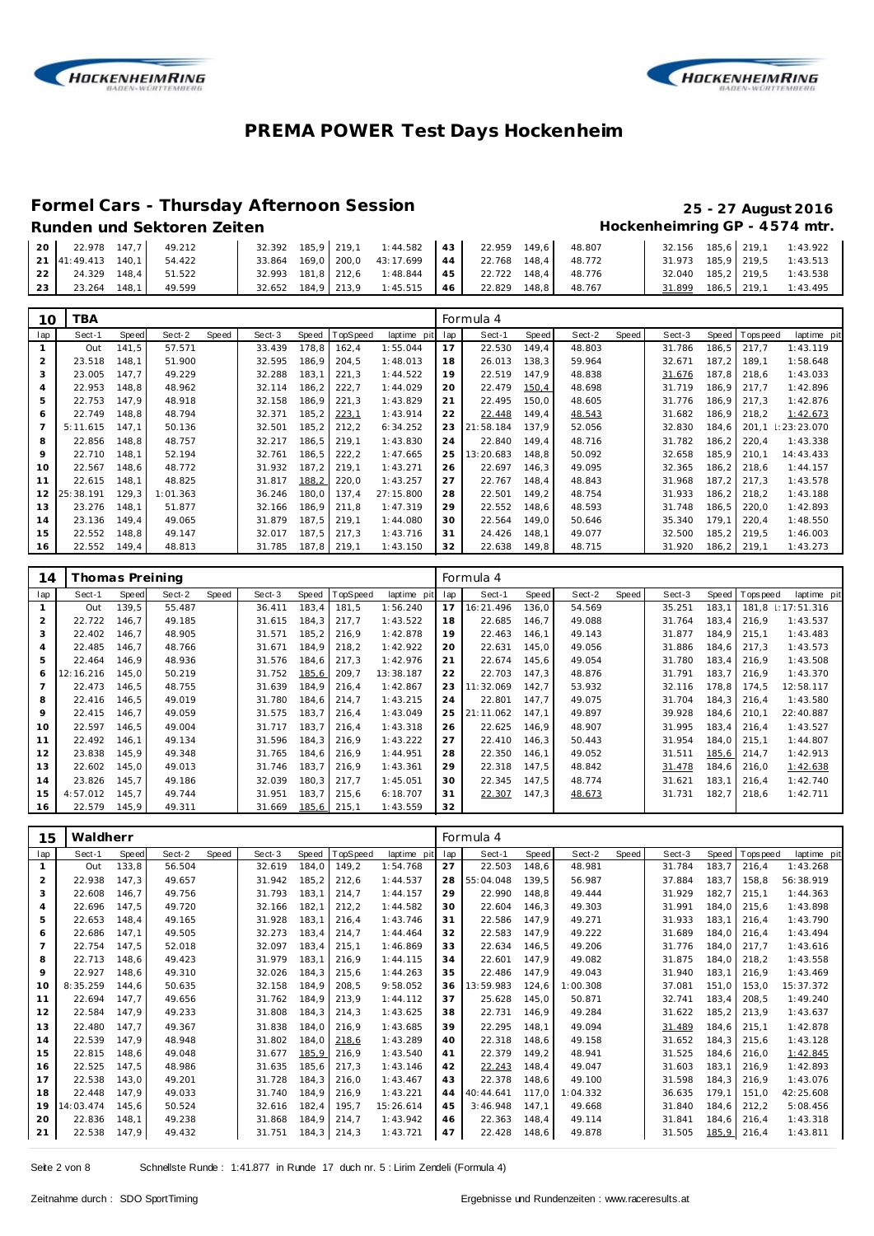



### **Formel Cars - Thursday Afternoon Session 25 - 27 August 2016**

| 20 | 22.978 147.7       |       | 49.212 |                    |             | 32.392 185.9 219.1 1:44.582 43 |    | 22.959 | 149.6 | 48.807 |        |  | 32.156 185.6 219.1 1:43.922 |
|----|--------------------|-------|--------|--------------------|-------------|--------------------------------|----|--------|-------|--------|--------|--|-----------------------------|
|    | 21 41:49.413 140.1 |       | 54.422 | 33.864             | 169,0 200,0 | 43:17.699                      | 44 | 22.768 | 148.4 | 48.772 |        |  | 31.973 185,9 219,5 1:43.513 |
| 22 | 24.329 148.4       |       | 51.522 | 32.993 181.8 212.6 |             | 1:48.844                       | 45 | 22.722 | 148.4 | 48.776 |        |  | 32.040 185,2 219,5 1:43.538 |
| 23 | 23.264             | 148.1 | 49.599 | 32.652 184.9 213.9 |             | 1:45.515                       | 46 | 22.829 | 148.8 | 48.767 | 31.899 |  | 186,5 219,1 1:43.495        |
|    |                    |       |        |                    |             |                                |    |        |       |        |        |  |                             |
|    |                    |       |        |                    |             |                                |    |        |       |        |        |  |                             |

| 10  | ΈA.       |       |          |       |        |       |             |             |     | Formula 4 |       |        |       |        |       |            |                 |
|-----|-----------|-------|----------|-------|--------|-------|-------------|-------------|-----|-----------|-------|--------|-------|--------|-------|------------|-----------------|
| lap | Sect-1    | Speed | Sect-2   | Speed | Sect-3 | Speed | TopSpeed    | laptime pit | lap | Sect-1    | Speed | Sect-2 | Speed | Sect-3 | Speed | T ops peed | laptime pit     |
|     | Out       | 141.5 | 57.571   |       | 33.439 | 178.8 | 162.4       | 1:55.044    | 17  | 22.530    | 149.4 | 48.803 |       | 31.786 | 186.5 | 217.7      | 1:43.119        |
| 2   | 23.518    | 148.1 | 51.900   |       | 32.595 | 186,9 | 204,5       | 1:48.013    | 18  | 26.013    | 138,3 | 59.964 |       | 32.671 | 187,2 | 189.1      | 1:58.648        |
| 3   | 23.005    | 147.7 | 49.229   |       | 32.288 | 183,1 | 221,3       | 1:44.522    | 19  | 22.519    | 147,9 | 48.838 |       | 31.676 | 187.8 | 218.6      | 1:43.033        |
| 4   | 22.953    | 148.8 | 48.962   |       | 32.114 | 186,2 | 222,7       | 1:44.029    | 20  | 22.479    | 150,4 | 48.698 |       | 31.719 | 186,9 | 217.7      | 1:42.896        |
| 5   | 22.753    | 147.9 | 48.918   |       | 32.158 | 186,9 | 221,3       | 1:43.829    | 21  | 22.495    | 150,0 | 48.605 |       | 31.776 | 186,9 | 217.3      | 1:42.876        |
| 6   | 22.749    | 148.8 | 48.794   |       | 32.371 | 185.2 | 223,1       | 1:43.914    | 22  | 22.448    | 149,4 | 48.543 |       | 31.682 | 186,9 | 218.2      | 1:42.673        |
|     | 5:11.615  | 147.1 | 50.136   |       | 32.501 | 185,2 | 212,2       | 6:34.252    | 23  | 21:58.184 | 137.9 | 52.056 |       | 32.830 | 184.6 | 201,1      | $\pm 23:23.070$ |
| 8   | 22.856    | 148.8 | 48.757   |       | 32.217 | 186.5 | 219.1       | 1:43.830    | 24  | 22.840    | 149.4 | 48.716 |       | 31.782 | 186,2 | 220,4      | 1:43.338        |
| 9   | 22.710    | 148.1 | 52.194   |       | 32.761 | 186,5 | 222,2       | 1:47.665    | 25  | 13:20.683 | 148.8 | 50.092 |       | 32.658 | 185.9 | 210.1      | 14:43.433       |
| 10  | 22.567    | 148.6 | 48.772   |       | 31.932 | 187,2 | 219,1       | 1:43.271    | 26  | 22.697    | 146,3 | 49.095 |       | 32.365 | 186,2 | 218.6      | 1:44.157        |
| 11  | 22.615    | 148.1 | 48.825   |       | 31.817 | 188,2 | 220.0       | 1:43.257    | 27  | 22.767    | 148.4 | 48.843 |       | 31.968 | 187.2 | 217.3      | 1:43.578        |
| 12  | 25:38.191 | 129,3 | 1:01.363 |       | 36.246 | 180,0 | 137.4       | 27:15.800   | 28  | 22.501    | 149,2 | 48.754 |       | 31.933 | 186,2 | 218,2      | 1:43.188        |
| 13  | 23.276    | 148.1 | 51.877   |       | 32.166 | 186.9 | 211.8       | 1:47.319    | 29  | 22.552    | 148.6 | 48.593 |       | 31.748 | 186.5 | 220.0      | 1:42.893        |
| 14  | 23.136    | 149.4 | 49.065   |       | 31.879 | 187.5 | 219.1       | 1:44.080    | 30  | 22.564    | 149,0 | 50.646 |       | 35.340 | 179.1 | 220,4      | 1:48.550        |
| 15  | 22.552    | 148.8 | 49.147   |       | 32.017 | 187.5 | 217,3       | 1:43.716    | 31  | 24.426    | 148,1 | 49.077 |       | 32.500 | 185,2 | 219.5      | 1:46.003        |
| 16  | 22.552    | 149,4 | 48.813   |       | 31.785 |       | 187,8 219,1 | 1:43.150    | 32  | 22.638    | 149,8 | 48.715 |       | 31.920 | 186,2 | 219,1      | 1:43.273        |

| 14  | Thomas Preining |       |        |       |        |        |             |             |     | Formula 4 |       |        |       |        |       |             |                   |
|-----|-----------------|-------|--------|-------|--------|--------|-------------|-------------|-----|-----------|-------|--------|-------|--------|-------|-------------|-------------------|
| lap | Sect-1          | Speed | Sect-2 | Speed | Sect-3 | Speed  | TopSpeed    | laptime pit | lap | Sect-1    | Speed | Sect-2 | Speed | Sect-3 | Speed | T ops pee d | laptime pit       |
|     | Out             | 139.5 | 55.487 |       | 36.411 | 183.4  | 181.5       | 1:56.240    | 17  | 16:21.496 | 136.0 | 54.569 |       | 35.251 | 183.1 |             | 181,8 1:17:51.316 |
| 2   | 22.722          | 146.7 | 49.185 |       | 31.615 | 184.3  | 217.7       | 1:43.522    | 18  | 22.685    | 146.7 | 49.088 |       | 31.764 | 183.4 | 216.9       | 1:43.537          |
| 3   | 22.402          | 146,7 | 48.905 |       | 31.571 | 185, 2 | 216,9       | 1:42.878    | 19  | 22.463    | 146,1 | 49.143 |       | 31.877 | 184.9 | 215,1       | 1:43.483          |
| 4   | 22.485          | 146.7 | 48.766 |       | 31.671 | 184,9  | 218,2       | 1:42.922    | 20  | 22.631    | 145,0 | 49.056 |       | 31.886 | 184.6 | 217.3       | 1:43.573          |
| 5   | 22.464          | 146.9 | 48.936 |       | 31.576 | 184.6  | 217,3       | 1:42.976    | 21  | 22.674    | 145,6 | 49.054 |       | 31.780 | 183.4 | 216.9       | 1:43.508          |
| 6   | 12:16.216       | 145.0 | 50.219 |       | 31.752 | 185,6  | 209,7       | 13:38.187   | 22  | 22.703    | 147,3 | 48.876 |       | 31.791 | 183.7 | 216.9       | 1:43.370          |
| 7   | 22.473          | 146.5 | 48.755 |       | 31.639 | 184.9  | 216,4       | 1:42.867    | 23  | 1:32.069  | 142,7 | 53.932 |       | 32.116 | 178.8 | 174.5       | 12:58.117         |
| 8   | 22.416          | 146.5 | 49.019 |       | 31.780 | 184.6  | 214.7       | 1:43.215    | 24  | 22.801    | 147.7 | 49.075 |       | 31.704 | 184.3 | 216.4       | 1:43.580          |
| 9   | 22.415          | 146.7 | 49.059 |       | 31.575 | 183.7  | 216,4       | 1:43.049    | 25  | 21:11.062 | 147.1 | 49.897 |       | 39.928 | 184.6 | 210.1       | 22:40.887         |
| 10  | 22.597          | 146.5 | 49.004 |       | 31.717 | 183.7  | 216,4       | 1:43.318    | 26  | 22.625    | 146,9 | 48.907 |       | 31.995 | 183.4 | 216.4       | 1:43.527          |
| 11  | 22.492          | 146.1 | 49.134 |       | 31.596 | 184.3  | 216.9       | 1:43.222    | 27  | 22.410    | 146,3 | 50.443 |       | 31.954 | 184.0 | 215.1       | 1:44.807          |
| 12  | 23.838          | 145.9 | 49.348 |       | 31.765 | 184.6  | 216.9       | 1:44.951    | 28  | 22.350    | 146.1 | 49.052 |       | 31.511 | 185,6 | 214.7       | 1:42.913          |
| 13  | 22.602          | 145,0 | 49.013 |       | 31.746 | 183,7  | 216,9       | 1:43.361    | 29  | 22.318    | 147,5 | 48.842 |       | 31.478 | 184,6 | 216,0       | 1:42.638          |
| 14  | 23.826          | 145.7 | 49.186 |       | 32.039 | 180,3  | 217,7       | 1:45.051    | 30  | 22.345    | 147,5 | 48.774 |       | 31.621 | 183,1 | 216,4       | 1:42.740          |
| 15  | 4:57.012        | 145.7 | 49.744 |       | 31.951 | 183,7  | 215,6       | 6:18.707    | 31  | 22.307    | 147,3 | 48.673 |       | 31.731 | 182,7 | 218,6       | 1:42.711          |
| 16  | 22.579          | 145,9 | 49.311 |       | 31.669 |        | 185,6 215,1 | 1:43.559    | 32  |           |       |        |       |        |       |             |                   |

| 15  | Waldherr  |       |        |       |        |       |          |             |     | Formula 4 |       |          |       |        |       |          |             |
|-----|-----------|-------|--------|-------|--------|-------|----------|-------------|-----|-----------|-------|----------|-------|--------|-------|----------|-------------|
| lap | Sect-1    | Speed | Sect-2 | Speed | Sect-3 | Speed | TopSpeed | laptime pit | lap | Sect-1    | Speed | Sect-2   | Speed | Sect-3 | Speed | Topspeed | laptime pit |
|     | Out       | 133,8 | 56.504 |       | 32.619 | 184,0 | 149,2    | 1:54.768    | 27  | 22.503    | 148,6 | 48.981   |       | 31.784 | 183,7 | 216,4    | 1:43.268    |
| 2   | 22.938    | 147.3 | 49.657 |       | 31.942 | 185,2 | 212,6    | 1:44.537    | 28  | 55:04.048 | 139.5 | 56.987   |       | 37.884 | 183.7 | 158,8    | 56:38.919   |
| 3   | 22.608    | 146.7 | 49.756 |       | 31.793 | 183,1 | 214,7    | 1:44.157    | 29  | 22.990    | 148,8 | 49.444   |       | 31.929 | 182,7 | 215,1    | 1:44.363    |
| 4   | 22.696    | 147.5 | 49.720 |       | 32.166 | 182.1 | 212,2    | 1:44.582    | 30  | 22.604    | 146.3 | 49.303   |       | 31.991 | 184.0 | 215.6    | 1:43.898    |
| 5   | 22.653    | 148,4 | 49.165 |       | 31.928 | 183,1 | 216,4    | 1:43.746    | 31  | 22.586    | 147,9 | 49.271   |       | 31.933 | 183,1 | 216,4    | 1:43.790    |
| 6   | 22.686    | 147.1 | 49.505 |       | 32.273 | 183.4 | 214,7    | 1:44.464    | 32  | 22.583    | 147,9 | 49.222   |       | 31.689 | 184.0 | 216,4    | 1:43.494    |
| 7   | 22.754    | 147.5 | 52.018 |       | 32.097 | 183.4 | 215,1    | 1:46.869    | 33  | 22.634    | 146.5 | 49.206   |       | 31.776 | 184.0 | 217.7    | 1:43.616    |
| 8   | 22.713    | 148.6 | 49.423 |       | 31.979 | 183.1 | 216.9    | 1:44.115    | 34  | 22.601    | 147.9 | 49.082   |       | 31.875 | 184.0 | 218.2    | 1:43.558    |
| 9   | 22.927    | 148.6 | 49.310 |       | 32.026 | 184.3 | 215,6    | 1:44.263    | 35  | 22.486    | 147,9 | 49.043   |       | 31.940 | 183,1 | 216,9    | 1:43.469    |
| 10  | 8:35.259  | 144.6 | 50.635 |       | 32.158 | 184.9 | 208,5    | 9:58.052    | 36  | 13:59.983 | 124,6 | 1:00.308 |       | 37.081 | 151.0 | 153,0    | 15:37.372   |
| 11  | 22.694    | 147.7 | 49.656 |       | 31.762 | 184.9 | 213,9    | 1:44.112    | 37  | 25.628    | 145,0 | 50.871   |       | 32.741 | 183.4 | 208.5    | 1:49.240    |
| 12  | 22.584    | 147.9 | 49.233 |       | 31.808 | 184.3 | 214,3    | 1:43.625    | 38  | 22.731    | 146,9 | 49.284   |       | 31.622 | 185,2 | 213,9    | 1:43.637    |
| 13  | 22.480    | 147.7 | 49.367 |       | 31.838 | 184.0 | 216.9    | 1:43.685    | 39  | 22.295    | 148.1 | 49.094   |       | 31.489 | 184.6 | 215.1    | 1:42.878    |
| 14  | 22.539    | 147.9 | 48.948 |       | 31.802 | 184.0 | 218,6    | 1:43.289    | 40  | 22.318    | 148.6 | 49.158   |       | 31.652 | 184.3 | 215,6    | 1:43.128    |
| 15  | 22.815    | 148.6 | 49.048 |       | 31.677 | 185,9 | 216,9    | 1:43.540    | 41  | 22.379    | 149.2 | 48.941   |       | 31.525 | 184,6 | 216.0    | 1:42.845    |
| 16  | 22.525    | 147,5 | 48.986 |       | 31.635 | 185,6 | 217,3    | 1:43.146    | 42  | 22.243    | 148.4 | 49.047   |       | 31.603 | 183.1 | 216.9    | 1:42.893    |
| 17  | 22.538    | 143.0 | 49.201 |       | 31.728 | 184,3 | 216,0    | 1:43.467    | 43  | 22.378    | 148.6 | 49.100   |       | 31.598 | 184.3 | 216.9    | 1:43.076    |
| 18  | 22.448    | 147.9 | 49.033 |       | 31.740 | 184.9 | 216,9    | 1:43.221    | 44  | 40:44.641 | 117.0 | 1:04.332 |       | 36.635 | 179.1 | 151.0    | 42:25.608   |
| 19  | 14:03.474 | 145.6 | 50.524 |       | 32.616 | 182,4 | 195,7    | 15:26.614   | 45  | 3:46.948  | 147.1 | 49.668   |       | 31.840 | 184.6 | 212,2    | 5:08.456    |
| 20  | 22.836    | 148.1 | 49.238 |       | 31.868 | 184.9 | 214,7    | 1:43.942    | 46  | 22.363    | 148,4 | 49.114   |       | 31.841 | 184.6 | 216.4    | 1:43.318    |
| 21  | 22.538    | 147,9 | 49.432 |       | 31.751 | 184,3 | 214,3    | 1:43.721    | 47  | 22.428    | 148,6 | 49.878   |       | 31.505 | 185,9 | 216,4    | 1:43.811    |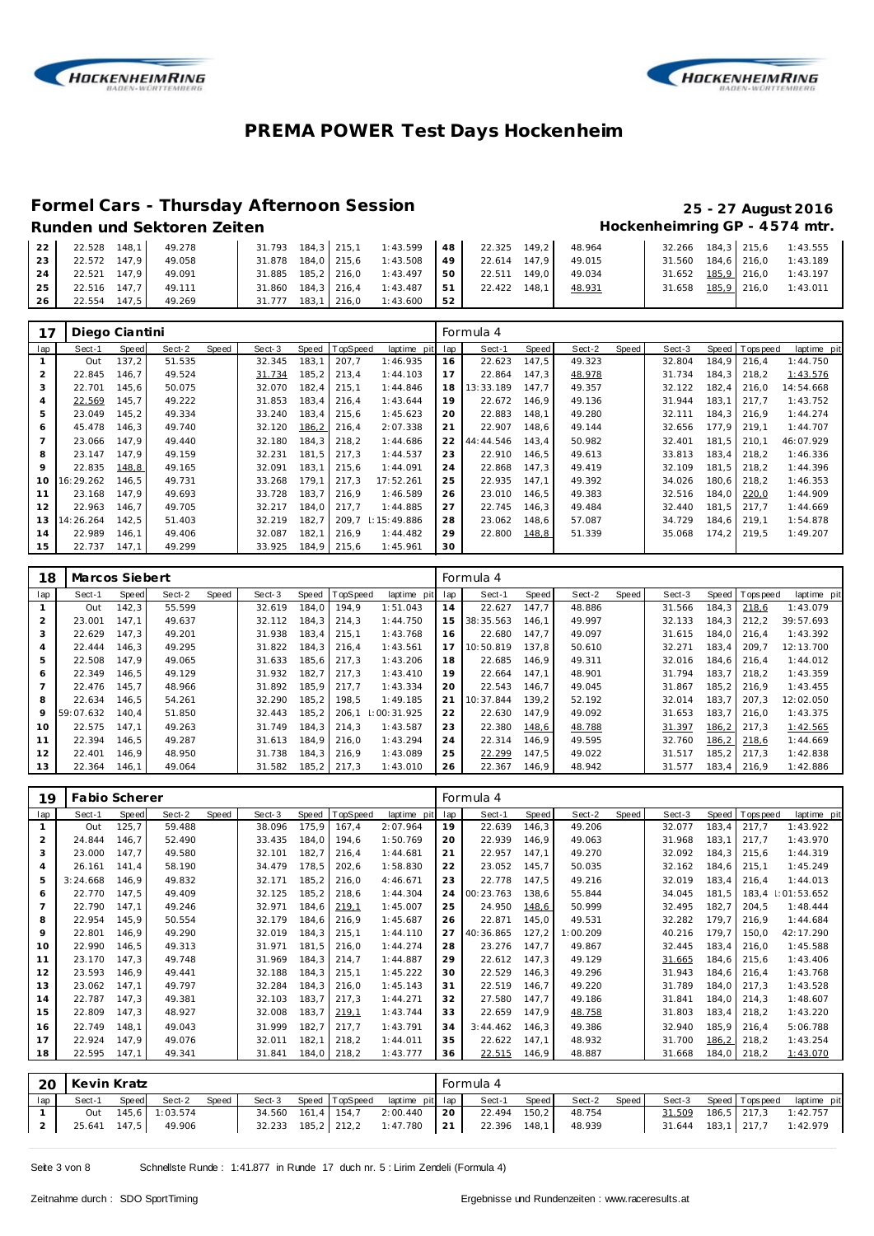



# **Formel Cars - Thursday Afternoon Session 25 - 27 August 2016**

| 22              | 22.528 148.1 49.278 |        |                                |          |    | $31.793$ $184.3$ $215.1$ $1:43.599$ $48$ $22.325$ $149.2$ | 48.964 |  | 32.266 184,3 215,6 1:43.555 |
|-----------------|---------------------|--------|--------------------------------|----------|----|-----------------------------------------------------------|--------|--|-----------------------------|
| 23 <sup>1</sup> | 22.572 147.9        | 49.058 | 31.878 184.0 215.6 1:43.508 49 |          |    | 22.614 147.9                                              | 49.015 |  | 31.560 184.6 216.0 1:43.189 |
| 24              | 22.521 147.9        | 49.091 | 31.885 185.2 216.0 1:43.497 50 |          |    | 22.511 149.0                                              | 49.034 |  | 31.652 185,9 216,0 1:43.197 |
| 25 L            | 22.516 147.7 49.111 |        | 31.860 184,3 216,4 1:43.487 51 |          |    | 22.422 148.1                                              | 48.931 |  | 31.658 185,9 216,0 1:43.011 |
| 26              | 22.554 147,5        | 49.269 | 31.777 183,1 216,0             | 1:43.600 | 52 |                                                           |        |  |                             |

| 17             | Diego Ciantini |       |        |       |        |       |          |                 |     | Formula 4 |              |        |       |        |       |                |             |
|----------------|----------------|-------|--------|-------|--------|-------|----------|-----------------|-----|-----------|--------------|--------|-------|--------|-------|----------------|-------------|
| lap            | Sect-1         | Speed | Sect-2 | Speed | Sect-3 | Speed | TopSpeed | laptime pit     | lap | Sect-1    | <b>Speed</b> | Sect-2 | Speed | Sect-3 |       | Speed Topspeed | laptime pit |
|                | Out            | 137,2 | 51.535 |       | 32.345 | 183,1 | 207,7    | 1:46.935        | 16  | 22.623    | 147,5        | 49.323 |       | 32.804 | 184.9 | 216.4          | 1:44.750    |
| $\overline{2}$ | 22.845         | 146.7 | 49.524 |       | 31.734 | 185,2 | 213,4    | 1:44.103        | 17  | 22.864    | 147.3        | 48.978 |       | 31.734 | 184.3 | 218.2          | 1:43.576    |
| 3              | 22.701         | 145.6 | 50.075 |       | 32.070 | 182,4 | 215,1    | 1:44.846        | 18  | 13:33.189 | 147.7        | 49.357 |       | 32.122 | 182.4 | 216.0          | 14:54.668   |
| 4              | 22.569         | 145,7 | 49.222 |       | 31.853 | 183,4 | 216,4    | 1:43.644        | 19  | 22.672    | 146.9        | 49.136 |       | 31.944 | 183.1 | 217.7          | 1:43.752    |
| 5              | 23.049         | 145.2 | 49.334 |       | 33.240 | 183,4 | 215.6    | 1:45.623        | 20  | 22.883    | 148.1        | 49.280 |       | 32.111 | 184.3 | 216.9          | 1:44.274    |
| 6              | 45.478         | 146,3 | 49.740 |       | 32.120 | 186,2 | 216,4    | 2:07.338        | 21  | 22.907    | 148,6        | 49.144 |       | 32.656 | 177.9 | 219.1          | 1:44.707    |
| $\overline{7}$ | 23.066         | 147.9 | 49.440 |       | 32.180 | 184,3 | 218,2    | 1:44.686        | 22  | 44:44.546 | 143.4        | 50.982 |       | 32.401 | 181.5 | 210.1          | 46:07.929   |
| 8              | 23.147         | 147.9 | 49.159 |       | 32.231 | 181.5 | 217.3    | 1:44.537        | 23  | 22.910    | 146.5        | 49.613 |       | 33.813 | 183.4 | 218.2          | 1:46.336    |
| 9              | 22.835         | 148,8 | 49.165 |       | 32.091 | 183.1 | 215,6    | 1:44.091        | 24  | 22.868    | 147.3        | 49.419 |       | 32.109 | 181.5 | 218.2          | 1:44.396    |
| 10             | 16:29.262      | 146.5 | 49.731 |       | 33.268 | 179.1 | 217.3    | 17:52.261       | 25  | 22.935    | 147.1        | 49.392 |       | 34.026 | 180.6 | 218.2          | 1:46.353    |
| 11             | 23.168         | 147.9 | 49.693 |       | 33.728 | 183,7 | 216.9    | 1:46.589        | 26  | 23.010    | 146.5        | 49.383 |       | 32.516 | 184.0 | 220,0          | 1:44.909    |
| 12             | 22.963         | 146.7 | 49.705 |       | 32.217 | 184,0 | 217.7    | 1:44.885        | 27  | 22.745    | 146,3        | 49.484 |       | 32.440 | 181.5 | 217.7          | 1:44.669    |
| 13             | 14:26.264      | 142,5 | 51.403 |       | 32.219 | 182,7 | 209.7    | $\pm 15:49.886$ | 28  | 23.062    | 148.6        | 57.087 |       | 34.729 | 184.6 | 219.1          | 1:54.878    |
| 14             | 22.989         | 146.1 | 49.406 |       | 32.087 | 182,1 | 216,9    | 1:44.482        | 29  | 22.800    | 148,8        | 51.339 |       | 35.068 | 174,2 | 219.5          | 1:49.207    |
| 15             | 22.737         | 147.1 | 49.299 |       | 33.925 | 184,9 | 215,6    | 1:45.961        | 30  |           |              |        |       |        |       |                |             |

| 18             | Marcos Siebert |       |        |       |        |       |          |             |     | Formula 4 |       |        |       |        |       |          |             |
|----------------|----------------|-------|--------|-------|--------|-------|----------|-------------|-----|-----------|-------|--------|-------|--------|-------|----------|-------------|
| lap            | Sect-1         | Speed | Sect-2 | Speed | Sect-3 | Speed | TopSpeed | laptime pit | lap | Sect-1    | Speed | Sect-2 | Speed | Sect-3 | Speed | Topspeed | laptime pit |
|                | Out            | 142.3 | 55.599 |       | 32.619 | 184.0 | 194.9    | 1:51.043    | 14  | 22.627    | 147.7 | 48.886 |       | 31.566 | 184.3 | 218.6    | 1:43.079    |
| $\overline{2}$ | 23.001         | 147.1 | 49.637 |       | 32.112 | 184.3 | 214.3    | 1:44.750    | 15  | 38:35.563 | 146.1 | 49.997 |       | 32.133 | 184.3 | 212.2    | 39:57.693   |
| 3              | 22.629         | 147.3 | 49.201 |       | 31.938 | 183.4 | 215.1    | 1:43.768    | 16  | 22.680    | 147.7 | 49.097 |       | 31.615 | 184.0 | 216.4    | 1:43.392    |
| 4              | 22.444         | 146.3 | 49.295 |       | 31.822 | 184.3 | 216.4    | 1:43.561    | 17  | 10:50.819 | 137.8 | 50.610 |       | 32.271 | 183.4 | 209.7    | 12:13.700   |
| 5              | 22.508         | 147.9 | 49.065 |       | 31.633 | 185,6 | 217.3    | 1:43.206    | 18  | 22.685    | 146.9 | 49.311 |       | 32.016 | 184.6 | 216.4    | 1:44.012    |
| 6              | 22.349         | 146.5 | 49.129 |       | 31.932 | 182.7 | 217.3    | 1:43.410    | 19  | 22.664    | 147.1 | 48.901 |       | 31.794 | 183.7 | 218.2    | 1:43.359    |
| $\overline{7}$ | 22.476         | 145.7 | 48.966 |       | 31.892 | 185.9 | 217.7    | 1:43.334    | 20  | 22.543    | 146.7 | 49.045 |       | 31.867 | 185.2 | 216.9    | 1:43.455    |
| 8              | 22.634         | 146.5 | 54.261 |       | 32.290 | 185.2 | 198.5    | 1:49.185    | 21  | 10:37.844 | 139.2 | 52.192 |       | 32.014 | 183.7 | 207.3    | 12:02.050   |
| 9              | 59:07.632      | 140.4 | 51.850 |       | 32.443 | 185,2 | 206.1    | 1:00:31.925 | 22  | 22.630    | 147.9 | 49.092 |       | 31.653 | 183.7 | 216.0    | 1:43.375    |
| 10             | 22.575         | 147.1 | 49.263 |       | 31.749 | 184.3 | 214.3    | 1:43.587    | 23  | 22.380    | 148,6 | 48.788 |       | 31.397 | 186,2 | 217.3    | 1:42.565    |
| 11             | 22.394         | 146.5 | 49.287 |       | 31.613 | 184.9 | 216.0    | 1:43.294    | 24  | 22.314    | 146.9 | 49.595 |       | 32.760 | 186,2 | 218.6    | 1:44.669    |
| 12             | 22.401         | 146.9 | 48.950 |       | 31.738 | 184.3 | 216.9    | 1:43.089    | 25  | 22.299    | 147.5 | 49.022 |       | 31.517 | 185.2 | 217.3    | 1:42.838    |
| 13             | 22.364         | 146.1 | 49.064 |       | 31.582 | 185,2 | 217,3    | 1:43.010    | 26  | 22.367    | 146.9 | 48.942 |       | 31.577 | 183.4 | 216.9    | 1:42.886    |

| 19  | Fabio Scherer |       |        |       |        |       |          |             |     | Formula 4 |       |          |       |        |        |                  |             |
|-----|---------------|-------|--------|-------|--------|-------|----------|-------------|-----|-----------|-------|----------|-------|--------|--------|------------------|-------------|
| lap | Sect-1        | Speed | Sect-2 | Speed | Sect-3 | Speed | TopSpeed | laptime pit | lap | Sect-1    | Speed | Sect-2   | Speed | Sect-3 | Speed  | <b>Tops peed</b> | laptime pit |
|     | Out           | 125,7 | 59.488 |       | 38.096 | 175,9 | 167,4    | 2:07.964    | 19  | 22.639    | 146,3 | 49.206   |       | 32.077 | 183,4  | 217,7            | 1:43.922    |
| 2   | 24.844        | 146,7 | 52.490 |       | 33.435 | 184,0 | 194,6    | 1:50.769    | 20  | 22.939    | 146,9 | 49.063   |       | 31.968 | 183,1  | 217,7            | 1:43.970    |
| 3   | 23.000        | 147,7 | 49.580 |       | 32.101 | 182,7 | 216,4    | 1:44.681    | 21  | 22.957    | 147,1 | 49.270   |       | 32.092 | 184,3  | 215,6            | 1:44.319    |
| 4   | 26.161        | 141,4 | 58.190 |       | 34.479 | 178,5 | 202,6    | 1:58.830    | 22  | 23.052    | 145,7 | 50.035   |       | 32.162 | 184,6  | 215,1            | 1:45.249    |
| 5   | 3:24.668      | 146.9 | 49.832 |       | 32.171 | 185,2 | 216,0    | 4:46.671    | 23  | 22.778    | 147.5 | 49.216   |       | 32.019 | 183,4  | 216.4            | 1:44.013    |
| 6   | 22.770        | 147,5 | 49.409 |       | 32.125 | 185,2 | 218,6    | 1:44.304    | 24  | 00:23.763 | 138,6 | 55.844   |       | 34.045 | 181,5  | 183,4            | 1:01:53.652 |
| 7   | 22.790        | 147,1 | 49.246 |       | 32.971 | 184,6 | 219.1    | 1:45.007    | 25  | 24.950    | 148,6 | 50.999   |       | 32.495 | 182,7  | 204,5            | 1:48.444    |
| 8   | 22.954        | 145,9 | 50.554 |       | 32.179 | 184,6 | 216,9    | 1:45.687    | 26  | 22.871    | 145,0 | 49.531   |       | 32.282 | 179.7  | 216,9            | 1:44.684    |
| 9   | 22.801        | 146,9 | 49.290 |       | 32.019 | 184,3 | 215,1    | 1:44.110    | 27  | 40:36.865 | 127,2 | 1:00.209 |       | 40.216 | 179,7  | 150,0            | 42:17.290   |
| 10  | 22.990        | 146,5 | 49.313 |       | 31.971 | 181,5 | 216,0    | 1:44.274    | 28  | 23.276    | 147,7 | 49.867   |       | 32.445 | 183,4  | 216.0            | 1:45.588    |
| 11  | 23.170        | 147,3 | 49.748 |       | 31.969 | 184,3 | 214,7    | 1:44.887    | 29  | 22.612    | 147,3 | 49.129   |       | 31.665 | 184,6  | 215,6            | 1:43.406    |
| 12  | 23.593        | 146,9 | 49.441 |       | 32.188 | 184,3 | 215,1    | 1:45.222    | 30  | 22.529    | 146,3 | 49.296   |       | 31.943 | 184,6  | 216.4            | 1:43.768    |
| 13  | 23.062        | 147,1 | 49.797 |       | 32.284 | 184,3 | 216,0    | 1:45.143    | 31  | 22.519    | 146,7 | 49.220   |       | 31.789 | 184.0  | 217,3            | 1:43.528    |
| 14  | 22.787        | 147,3 | 49.381 |       | 32.103 | 183,7 | 217,3    | 1:44.271    | 32  | 27.580    | 147,7 | 49.186   |       | 31.841 | 184,0  | 214,3            | 1:48.607    |
| 15  | 22.809        | 147,3 | 48.927 |       | 32.008 | 183,7 | 219.1    | 1:43.744    | 33  | 22.659    | 147,9 | 48.758   |       | 31.803 | 183,4  | 218,2            | 1:43.220    |
| 16  | 22.749        | 148,1 | 49.043 |       | 31.999 | 182,7 | 217,7    | 1:43.791    | 34  | 3:44.462  | 146,3 | 49.386   |       | 32.940 | 185,9  | 216,4            | 5:06.788    |
| 17  | 22.924        | 147,9 | 49.076 |       | 32.011 | 182,1 | 218,2    | 1:44.011    | 35  | 22.622    | 147.1 | 48.932   |       | 31.700 | 186, 2 | 218,2            | 1:43.254    |
| 18  | 22.595        | 147.1 | 49.341 |       | 31.841 | 184,0 | 218,2    | 1:43.777    | 36  | 22.515    | 146,9 | 48.887   |       | 31.668 | 184,0  | 218,2            | 1:43.070    |
|     |               |       |        |       |        |       |          |             |     |           |       |          |       |        |        |                  |             |

|     | 20   Kevin Kratz |       |                     |       |  |                                                    |    | Formula 4    |       |        |       |        |                       |                             |
|-----|------------------|-------|---------------------|-------|--|----------------------------------------------------|----|--------------|-------|--------|-------|--------|-----------------------|-----------------------------|
| lap | Sect-1           | Speed | Sect-2              | Speed |  | Sect-3 Speed TopSpeed laptime pit lap              |    | Sect-1       | Speed | Sect-2 | Speed |        | Sect-3 Speed Topspeed | laptime pit                 |
|     | Out              |       | 145,6 1:03.574      |       |  | 34.560 161,4 154,7 2:00.440                        | 20 | 22.494 150.2 |       | 48.754 |       | 31.509 | 186,5 217,3 1:42.757  |                             |
|     |                  |       | 25.641 147,5 49.906 |       |  | 32.233 185,2 212,2 1:47.780 21 22.396 148,1 48.939 |    |              |       |        |       |        |                       | 31.644 183,1 217,7 1:42.979 |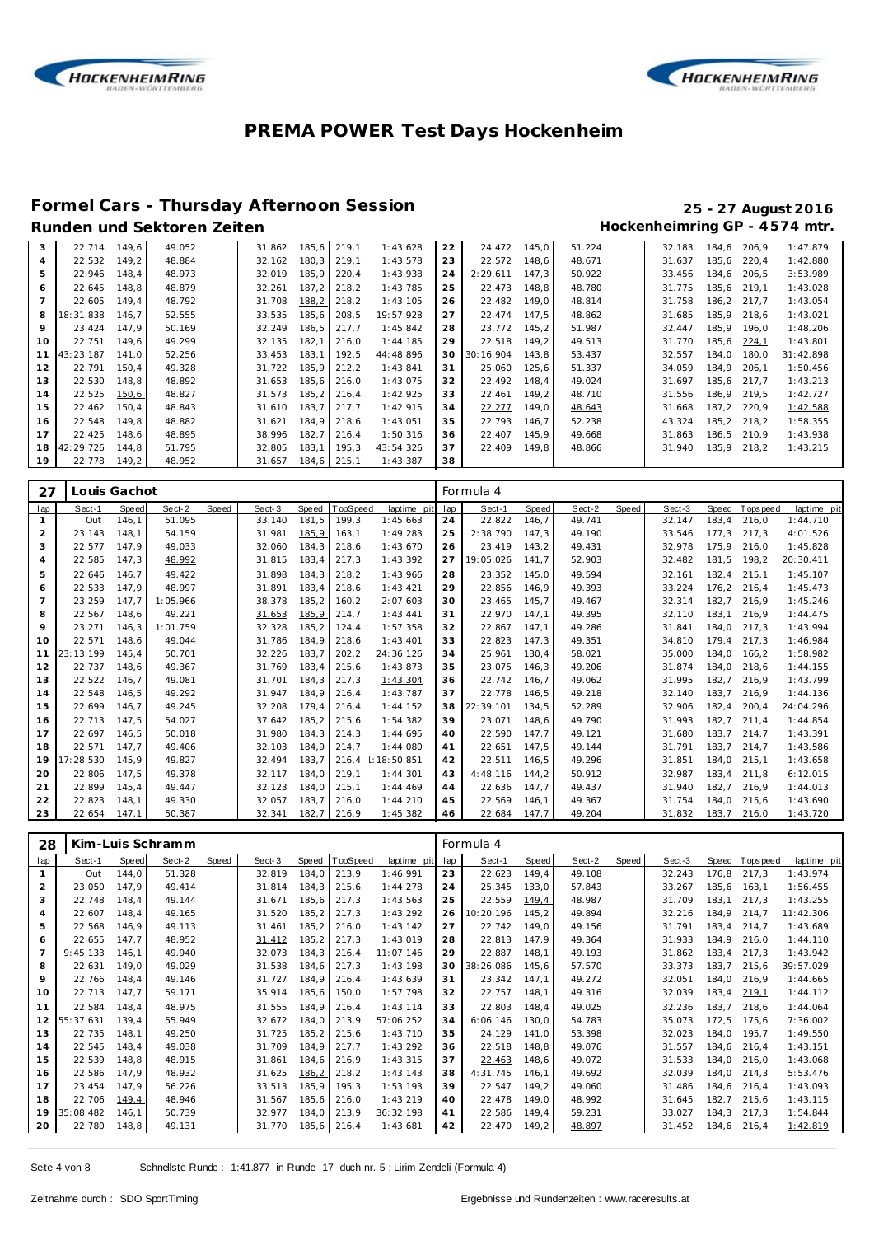



#### **Formel Cars - Thursday Afternoon Session 25 - 27 August 2016** Runden und Sektoren Zeiten **Munden und Sektoren Zeiten Hockenheimring GP** - 4574 mtr.

| 3               | 22.714    | 149.6 | 49.052 | 31.862 | 185,6 | 219,1 | 1:43.628  | 22 | 24.472    | 145,0 | 51.224 | 32.183 | 184,6 | 206.9 | 1:47.879  |
|-----------------|-----------|-------|--------|--------|-------|-------|-----------|----|-----------|-------|--------|--------|-------|-------|-----------|
| $\overline{4}$  | 22.532    | 149.2 | 48.884 | 32.162 | 180.3 | 219.1 | 1:43.578  | 23 | 22.572    | 148.6 | 48.671 | 31.637 | 185.6 | 220.4 | 1:42.880  |
| 5               | 22.946    | 148.4 | 48.973 | 32.019 | 185,9 | 220,4 | 1:43.938  | 24 | 2:29.611  | 147,3 | 50.922 | 33.456 | 184,6 | 206,5 | 3:53.989  |
| 6               | 22.645    | 148.8 | 48.879 | 32.261 | 187.2 | 218.2 | 1:43.785  | 25 | 22.473    | 148.8 | 48.780 | 31.775 | 185.6 | 219.1 | 1:43.028  |
|                 | 22.605    | 149.4 | 48.792 | 31.708 | 188,2 | 218,2 | 1:43.105  | 26 | 22.482    | 149.0 | 48.814 | 31.758 | 186,2 | 217.7 | 1:43.054  |
| 8               | 18:31.838 | 146.7 | 52.555 | 33.535 | 185.6 | 208,5 | 19:57.928 | 27 | 22.474    | 147.5 | 48.862 | 31.685 | 185.9 | 218.6 | 1:43.021  |
| 9               | 23.424    | 147.9 | 50.169 | 32.249 | 186,5 | 217.7 | 1:45.842  | 28 | 23.772    | 145,2 | 51.987 | 32.447 | 185.9 | 196.0 | 1:48.206  |
| 10 <sup>°</sup> | 22.751    | 149.6 | 49.299 | 32.135 | 182,1 | 216.0 | 1:44.185  | 29 | 22.518    | 149,2 | 49.513 | 31.770 | 185,6 | 224,1 | 1:43.801  |
| 11              | 43:23.187 | 141.0 | 52.256 | 33.453 | 183.1 | 192.5 | 44:48.896 | 30 | 30:16.904 | 143.8 | 53.437 | 32.557 | 184.0 | 180.0 | 31:42.898 |
| 12              | 22.791    | 150.4 | 49.328 | 31.722 | 185.9 | 212,2 | 1:43.841  | 31 | 25.060    | 125,6 | 51.337 | 34.059 | 184.9 | 206.1 | 1:50.456  |
| 13              | 22.530    | 148.8 | 48.892 | 31.653 | 185.6 | 216.0 | 1:43.075  | 32 | 22.492    | 148.4 | 49.024 | 31.697 | 185.6 | 217.7 | 1:43.213  |
| 14              | 22.525    | 150,6 | 48.827 | 31.573 | 185,2 | 216,4 | 1:42.925  | 33 | 22.461    | 149,2 | 48.710 | 31.556 | 186,9 | 219,5 | 1:42.727  |
| 15              | 22.462    | 150.4 | 48.843 | 31.610 | 183,7 | 217.7 | 1:42.915  | 34 | 22.277    | 149,0 | 48.643 | 31.668 | 187,2 | 220,9 | 1:42.588  |
| 16              | 22.548    | 149.8 | 48.882 | 31.621 | 184.9 | 218.6 | 1:43.051  | 35 | 22.793    | 146.7 | 52.238 | 43.324 | 185,2 | 218.2 | 1:58.355  |
| 17              | 22.425    | 148.6 | 48.895 | 38.996 | 182.7 | 216.4 | 1:50.316  | 36 | 22.407    | 145.9 | 49.668 | 31.863 | 186.5 | 210.9 | 1:43.938  |
| 18              | 42:29.726 | 144.8 | 51.795 | 32.805 | 183.1 | 195,3 | 43:54.326 | 37 | 22.409    | 149.8 | 48.866 | 31.940 | 185,9 | 218,2 | 1:43.215  |
| 19              | 22.778    | 149,2 | 48.952 | 31.657 | 184,6 | 215.1 | 1:43.387  | 38 |           |       |        |        |       |       |           |

| 27             |           | Louis Gachot |          |       |        |       |          |                 |     | Formula 4 |       |        |       |        |       |                   |             |
|----------------|-----------|--------------|----------|-------|--------|-------|----------|-----------------|-----|-----------|-------|--------|-------|--------|-------|-------------------|-------------|
| lap            | Sect-1    | Speed        | Sect-2   | Speed | Sect-3 | Speed | TopSpeed | laptime pit     | lap | Sect-1    | Speed | Sect-2 | Speed | Sect-3 |       | Speed   Tops peed | laptime pit |
| $\mathbf{1}$   | Out       | 146.1        | 51.095   |       | 33.140 | 181.5 | 199,3    | 1:45.663        | 24  | 22.822    | 146,7 | 49.741 |       | 32.147 | 183.4 | 216.0             | 1:44.710    |
| $\overline{2}$ | 23.143    | 148.1        | 54.159   |       | 31.981 | 185,9 | 163,1    | 1:49.283        | 25  | 2:38.790  | 147.3 | 49.190 |       | 33.546 | 177.3 | 217,3             | 4:01.526    |
| 3              | 22.577    | 147.9        | 49.033   |       | 32.060 | 184.3 | 218,6    | 1:43.670        | 26  | 23.419    | 143,2 | 49.431 |       | 32.978 | 175.9 | 216,0             | 1:45.828    |
| $\overline{4}$ | 22.585    | 147,3        | 48.992   |       | 31.815 | 183,4 | 217,3    | 1:43.392        | 27  | 19:05.026 | 141,7 | 52.903 |       | 32.482 | 181,5 | 198,2             | 20:30.411   |
| 5              | 22.646    | 146.7        | 49.422   |       | 31.898 | 184.3 | 218,2    | 1:43.966        | 28  | 23.352    | 145,0 | 49.594 |       | 32.161 | 182.4 | 215,1             | 1:45.107    |
| 6              | 22.533    | 147.9        | 48.997   |       | 31.891 | 183.4 | 218,6    | 1:43.421        | 29  | 22.856    | 146.9 | 49.393 |       | 33.224 | 176.2 | 216.4             | 1:45.473    |
| $\overline{7}$ | 23.259    | 147.7        | 1:05.966 |       | 38.378 | 185,2 | 160.2    | 2:07.603        | 30  | 23.465    | 145,7 | 49.467 |       | 32.314 | 182.7 | 216.9             | 1:45.246    |
| 8              | 22.567    | 148.6        | 49.221   |       | 31.653 | 185,9 | 214,7    | 1:43.441        | 31  | 22.970    | 147.1 | 49.395 |       | 32.110 | 183.1 | 216.9             | 1:44.475    |
| 9              | 23.271    | 146.3        | 1:01.759 |       | 32.328 | 185.2 | 124.4    | 1:57.358        | 32  | 22.867    | 147.1 | 49.286 |       | 31.841 | 184.0 | 217.3             | 1:43.994    |
| 10             | 22.571    | 148.6        | 49.044   |       | 31.786 | 184.9 | 218,6    | 1:43.401        | 33  | 22.823    | 147.3 | 49.351 |       | 34.810 | 179.4 | 217.3             | 1:46.984    |
| 11             | 23:13.199 | 145.4        | 50.701   |       | 32.226 | 183.7 | 202,2    | 24:36.126       | 34  | 25.961    | 130,4 | 58.021 |       | 35.000 | 184.0 | 166,2             | 1:58.982    |
| 12             | 22.737    | 148.6        | 49.367   |       | 31.769 | 183.4 | 215.6    | 1:43.873        | 35  | 23.075    | 146,3 | 49.206 |       | 31.874 | 184.0 | 218.6             | 1:44.155    |
| 13             | 22.522    | 146.7        | 49.081   |       | 31.701 | 184.3 | 217,3    | 1:43.304        | 36  | 22.742    | 146,7 | 49.062 |       | 31.995 | 182.7 | 216.9             | 1:43.799    |
| 14             | 22.548    | 146.5        | 49.292   |       | 31.947 | 184.9 | 216,4    | 1:43.787        | 37  | 22.778    | 146,5 | 49.218 |       | 32.140 | 183.7 | 216.9             | 1:44.136    |
| 15             | 22.699    | 146.7        | 49.245   |       | 32.208 | 179.4 | 216,4    | 1:44.152        | 38  | 22:39.101 | 134,5 | 52.289 |       | 32.906 | 182,4 | 200,4             | 24:04.296   |
| 16             | 22.713    | 147.5        | 54.027   |       | 37.642 | 185.2 | 215.6    | 1:54.382        | 39  | 23.071    | 148.6 | 49.790 |       | 31.993 | 182.7 | 211.4             | 1:44.854    |
| 17             | 22.697    | 146.5        | 50.018   |       | 31.980 | 184.3 | 214.3    | 1:44.695        | 40  | 22.590    | 147.7 | 49.121 |       | 31.680 | 183.7 | 214.7             | 1:43.391    |
| 18             | 22.571    | 147.7        | 49.406   |       | 32.103 | 184.9 | 214.7    | 1:44.080        | 41  | 22.651    | 147.5 | 49.144 |       | 31.791 | 183.7 | 214.7             | 1:43.586    |
| 19             | 17:28.530 | 145.9        | 49.827   |       | 32.494 | 183.7 | 216.4    | $\pm 18:50.851$ | 42  | 22.511    | 146,5 | 49.296 |       | 31.851 | 184.0 | 215.1             | 1:43.658    |
| 20             | 22.806    | 147.5        | 49.378   |       | 32.117 | 184.0 | 219.1    | 1:44.301        | 43  | 4:48.116  | 144.2 | 50.912 |       | 32.987 | 183.4 | 211.8             | 6:12.015    |
| 21             | 22.899    | 145.4        | 49.447   |       | 32.123 | 184.0 | 215.1    | 1:44.469        | 44  | 22.636    | 147.7 | 49.437 |       | 31.940 | 182.7 | 216.9             | 1:44.013    |
| 22             | 22.823    | 148.1        | 49.330   |       | 32.057 | 183.7 | 216.0    | 1:44.210        | 45  | 22.569    | 146.1 | 49.367 |       | 31.754 | 184.0 | 215.6             | 1:43.690    |
| 23             | 22.654    | 147.1        | 50.387   |       | 32.341 | 182.7 | 216,9    | 1:45.382        | 46  | 22.684    | 147.7 | 49.204 |       | 31.832 | 183.7 | 216.0             | 1:43.720    |

| 28             |           |       | Kim-Luis Schramm |       |        |       |          |             |     | Formula 4 |       |        |       |        |       |             |             |
|----------------|-----------|-------|------------------|-------|--------|-------|----------|-------------|-----|-----------|-------|--------|-------|--------|-------|-------------|-------------|
| lap            | Sect-1    | Speed | Sect-2           | Speed | Sect-3 | Speed | TopSpeed | laptime pit | lap | Sect-1    | Speed | Sect-2 | Speed | Sect-3 | Speed | T ops pee d | laptime pit |
| 1              | Out       | 144,0 | 51.328           |       | 32.819 | 184,0 | 213,9    | 1:46.991    | 23  | 22.623    | 149,4 | 49.108 |       | 32.243 | 176,8 | 217.3       | 1:43.974    |
| $\overline{2}$ | 23.050    | 147.9 | 49.414           |       | 31.814 | 184,3 | 215,6    | 1:44.278    | 24  | 25.345    | 133,0 | 57.843 |       | 33.267 | 185,6 | 163.1       | 1:56.455    |
| 3              | 22.748    | 148.4 | 49.144           |       | 31.671 | 185,6 | 217,3    | 1:43.563    | 25  | 22.559    | 149,4 | 48.987 |       | 31.709 | 183.1 | 217.3       | 1:43.255    |
| 4              | 22.607    | 148.4 | 49.165           |       | 31.520 | 185,2 | 217,3    | 1:43.292    | 26  | 10:20.196 | 145.2 | 49.894 |       | 32.216 | 184.9 | 214.7       | 11:42.306   |
| 5              | 22.568    | 146.9 | 49.113           |       | 31.461 | 185,2 | 216.0    | 1:43.142    | 27  | 22.742    | 149.0 | 49.156 |       | 31.791 | 183,4 | 214.7       | 1:43.689    |
| 6              | 22.655    | 147.7 | 48.952           |       | 31.412 | 185,2 | 217,3    | 1:43.019    | 28  | 22.813    | 147.9 | 49.364 |       | 31.933 | 184.9 | 216.0       | 1:44.110    |
| $\overline{7}$ | 9:45.133  | 146.1 | 49.940           |       | 32.073 | 184,3 | 216,4    | 11:07.146   | 29  | 22.887    | 148.1 | 49.193 |       | 31.862 | 183,4 | 217.3       | 1:43.942    |
| 8              | 22.631    | 149.0 | 49.029           |       | 31.538 | 184,6 | 217.3    | 1:43.198    | 30  | 38:26.086 | 145.6 | 57.570 |       | 33.373 | 183.7 | 215.6       | 39:57.029   |
| 9              | 22.766    | 148.4 | 49.146           |       | 31.727 | 184.9 | 216,4    | 1:43.639    | 31  | 23.342    | 147,1 | 49.272 |       | 32.051 | 184.0 | 216.9       | 1:44.665    |
| 10             | 22.713    | 147,7 | 59.171           |       | 35.914 | 185,6 | 150,0    | 1:57.798    | 32  | 22.757    | 148.1 | 49.316 |       | 32.039 | 183,4 | 219,1       | 1:44.112    |
| 11             | 22.584    | 148.4 | 48.975           |       | 31.555 | 184.9 | 216.4    | 1:43.114    | 33  | 22.803    | 148.4 | 49.025 |       | 32.236 | 183.7 | 218.6       | 1:44.064    |
| 12             | 55:37.631 | 139.4 | 55.949           |       | 32.672 | 184.0 | 213,9    | 57:06.252   | 34  | 6:06.146  | 130.0 | 54.783 |       | 35.073 | 172.5 | 175.6       | 7:36.002    |
| 13             | 22.735    | 148.1 | 49.250           |       | 31.725 | 185,2 | 215,6    | 1:43.710    | 35  | 24.129    | 141.0 | 53.398 |       | 32.023 | 184.0 | 195.7       | 1:49.550    |
| 14             | 22.545    | 148.4 | 49.038           |       | 31.709 | 184,9 | 217,7    | 1:43.292    | 36  | 22.518    | 148.8 | 49.076 |       | 31.557 | 184.6 | 216.4       | 1:43.151    |
| 15             | 22.539    | 148.8 | 48.915           |       | 31.861 | 184,6 | 216,9    | 1:43.315    | 37  | 22.463    | 148.6 | 49.072 |       | 31.533 | 184.0 | 216.0       | 1:43.068    |
| 16             | 22.586    | 147,9 | 48.932           |       | 31.625 | 186,2 | 218.2    | 1:43.143    | 38  | 4:31.745  | 146.1 | 49.692 |       | 32.039 | 184.0 | 214.3       | 5:53.476    |
| 17             | 23.454    | 147,9 | 56.226           |       | 33.513 | 185,9 | 195.3    | 1:53.193    | 39  | 22.547    | 149.2 | 49.060 |       | 31.486 | 184.6 | 216.4       | 1:43.093    |
| 18             | 22.706    | 149,4 | 48.946           |       | 31.567 | 185,6 | 216,0    | 1:43.219    | 40  | 22.478    | 149.0 | 48.992 |       | 31.645 | 182.7 | 215.6       | 1:43.115    |
| 19             | 35:08.482 | 146.1 | 50.739           |       | 32.977 | 184,0 | 213,9    | 36: 32.198  | 41  | 22.586    | 149,4 | 59.231 |       | 33.027 | 184.3 | 217.3       | 1:54.844    |
| 20             | 22.780    | 148,8 | 49.131           |       | 31.770 | 185,6 | 216,4    | 1:43.681    | 42  | 22.470    | 149,2 | 48.897 |       | 31.452 | 184,6 | 216,4       | 1:42.819    |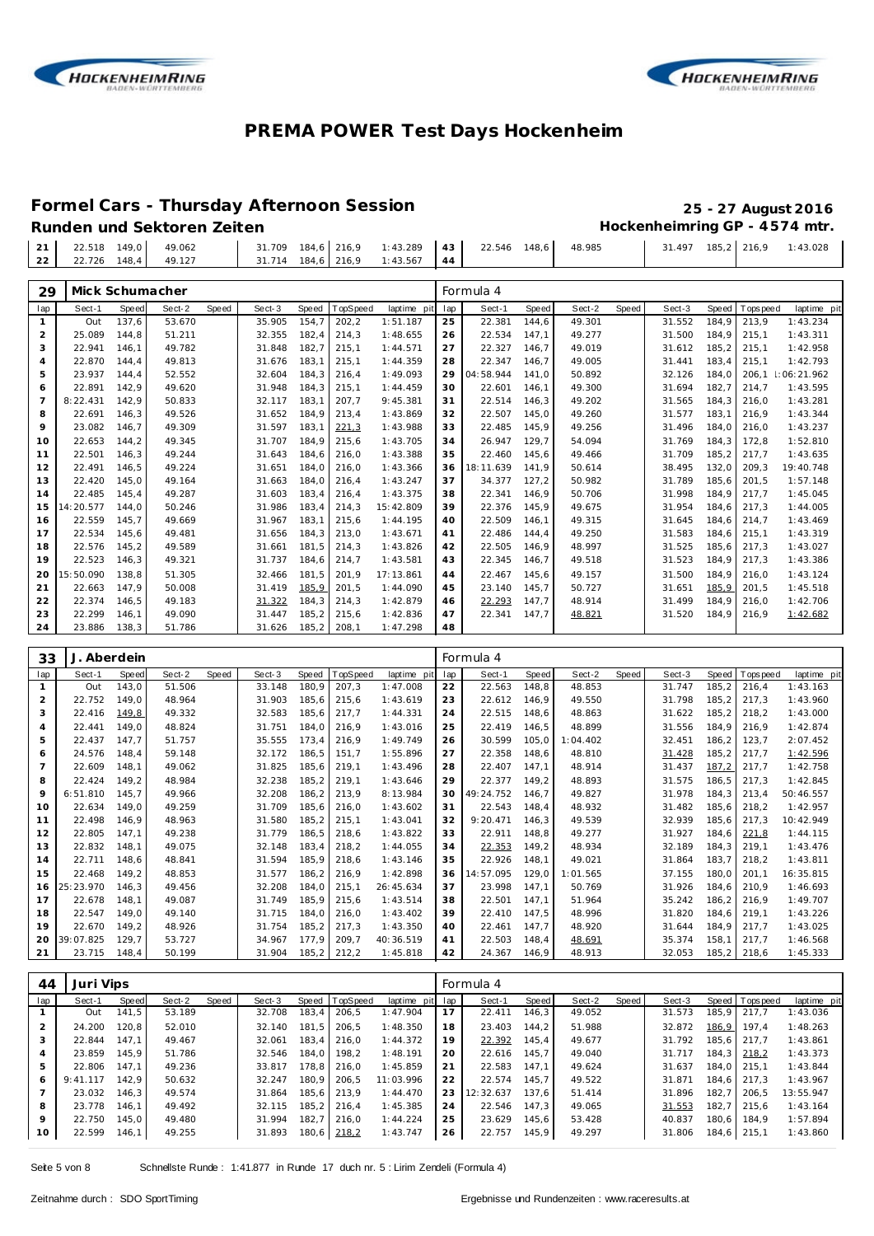



#### **Formel Cars - Thursday Afternoon Session 25 - 27 August 2016**

| 21 22.518 149,0          | 49.062 | 31.709 184.6 216.9                     |  | $1:43.289$ 43 22.546 148.6 | 48.985 | 31.497 185,2 216,9 1:43.028 |  |
|--------------------------|--------|----------------------------------------|--|----------------------------|--------|-----------------------------|--|
| $22$ 22.726 148,4 49.127 |        | $31.714$ $184.6$ $216.9$ $1:43.567$ 44 |  |                            |        |                             |  |
|                          |        |                                        |  |                            |        |                             |  |

| 29             | Mick Schumacher |       |        |       |        |       |          |             |     | Formula 4 |       |        |       |        |       |             |             |
|----------------|-----------------|-------|--------|-------|--------|-------|----------|-------------|-----|-----------|-------|--------|-------|--------|-------|-------------|-------------|
| lap            | Sect-1          | Speed | Sect-2 | Speed | Sect-3 | Speed | TopSpeed | laptime pit | lap | Sect-1    | Speed | Sect-2 | Speed | Sect-3 | Speed | T ops pee d | laptime pit |
|                | Out             | 137.6 | 53.670 |       | 35.905 | 154.7 | 202,2    | 1:51.187    | 25  | 22.381    | 144,6 | 49.301 |       | 31.552 | 184.9 | 213.9       | 1:43.234    |
| 2              | 25.089          | 144.8 | 51.211 |       | 32.355 | 182.4 | 214.3    | 1:48.655    | 26  | 22.534    | 147.1 | 49.277 |       | 31.500 | 184.9 | 215.1       | 1:43.311    |
| 3              | 22.941          | 146.1 | 49.782 |       | 31.848 | 182,7 | 215,1    | 1:44.571    | 27  | 22.327    | 146.7 | 49.019 |       | 31.612 | 185,2 | 215,1       | 1:42.958    |
| $\overline{4}$ | 22.870          | 144.4 | 49.813 |       | 31.676 | 183.1 | 215,1    | 1:44.359    | 28  | 22.347    | 146.7 | 49.005 |       | 31.441 | 183.4 | 215.1       | 1:42.793    |
| 5              | 23.937          | 144.4 | 52.552 |       | 32.604 | 184.3 | 216.4    | 1:49.093    | 29  | 04:58.944 | 141.0 | 50.892 |       | 32.126 | 184.0 | 206.1       | 1:06:21.962 |
| 6              | 22.891          | 142,9 | 49.620 |       | 31.948 | 184,3 | 215,1    | 1:44.459    | 30  | 22.601    | 146,1 | 49.300 |       | 31.694 | 182,7 | 214,7       | 1:43.595    |
| $\overline{7}$ | 8:22.431        | 142,9 | 50.833 |       | 32.117 | 183.1 | 207,7    | 9:45.381    | 31  | 22.514    | 146,3 | 49.202 |       | 31.565 | 184.3 | 216,0       | 1:43.281    |
| 8              | 22.691          | 146.3 | 49.526 |       | 31.652 | 184.9 | 213,4    | 1:43.869    | 32  | 22.507    | 145.0 | 49.260 |       | 31.577 | 183.1 | 216.9       | 1:43.344    |
| 9              | 23.082          | 146.7 | 49.309 |       | 31.597 | 183,1 | 221,3    | 1:43.988    | 33  | 22.485    | 145,9 | 49.256 |       | 31.496 | 184.0 | 216,0       | 1:43.237    |
| 10             | 22.653          | 144,2 | 49.345 |       | 31.707 | 184.9 | 215.6    | 1:43.705    | 34  | 26.947    | 129,7 | 54.094 |       | 31.769 | 184.3 | 172,8       | 1:52.810    |
| 11             | 22.501          | 146.3 | 49.244 |       | 31.643 | 184.6 | 216.0    | 1:43.388    | 35  | 22.460    | 145.6 | 49.466 |       | 31.709 | 185.2 | 217.7       | 1:43.635    |
| 12             | 22.491          | 146.5 | 49.224 |       | 31.651 | 184.0 | 216.0    | 1:43.366    | 36  | 18:11.639 | 141.9 | 50.614 |       | 38.495 | 132.0 | 209.3       | 19:40.748   |
| 13             | 22.420          | 145,0 | 49.164 |       | 31.663 | 184,0 | 216,4    | 1:43.247    | 37  | 34.377    | 127,2 | 50.982 |       | 31.789 | 185.6 | 201,5       | 1:57.148    |
| 14             | 22.485          | 145.4 | 49.287 |       | 31.603 | 183.4 | 216,4    | 1:43.375    | 38  | 22.341    | 146.9 | 50.706 |       | 31.998 | 184.9 | 217.7       | 1:45.045    |
| 15             | 14:20.577       | 144.0 | 50.246 |       | 31.986 | 183.4 | 214.3    | 15:42.809   | 39  | 22.376    | 145.9 | 49.675 |       | 31.954 | 184.6 | 217.3       | 1:44.005    |
| 16             | 22.559          | 145,7 | 49.669 |       | 31.967 | 183,1 | 215,6    | 1:44.195    | 40  | 22.509    | 146,1 | 49.315 |       | 31.645 | 184.6 | 214,7       | 1:43.469    |
| 17             | 22.534          | 145,6 | 49.481 |       | 31.656 | 184.3 | 213,0    | 1:43.671    | 41  | 22.486    | 144,4 | 49.250 |       | 31.583 | 184.6 | 215,1       | 1:43.319    |
| 18             | 22.576          | 145,2 | 49.589 |       | 31.661 | 181.5 | 214,3    | 1:43.826    | 42  | 22.505    | 146.9 | 48.997 |       | 31.525 | 185.6 | 217.3       | 1:43.027    |
| 19             | 22.523          | 146,3 | 49.321 |       | 31.737 | 184.6 | 214,7    | 1:43.581    | 43  | 22.345    | 146.7 | 49.518 |       | 31.523 | 184.9 | 217,3       | 1:43.386    |
| 20             | 15:50.090       | 138.8 | 51.305 |       | 32.466 | 181.5 | 201.9    | 17:13.861   | 44  | 22.467    | 145.6 | 49.157 |       | 31.500 | 184.9 | 216.0       | 1:43.124    |
| 21             | 22.663          | 147.9 | 50.008 |       | 31.419 | 185,9 | 201.5    | 1:44.090    | 45  | 23.140    | 145.7 | 50.727 |       | 31.651 | 185,9 | 201.5       | 1:45.518    |
| 22             | 22.374          | 146,5 | 49.183 |       | 31.322 | 184,3 | 214,3    | 1:42.879    | 46  | 22.293    | 147,7 | 48.914 |       | 31.499 | 184,9 | 216,0       | 1:42.706    |
| 23             | 22.299          | 146,1 | 49.090 |       | 31.447 | 185,2 | 215,6    | 1:42.836    | 47  | 22.341    | 147,7 | 48.821 |       | 31.520 | 184,9 | 216,9       | 1:42.682    |
| 24             | 23.886          | 138.3 | 51.786 |       | 31.626 | 185,2 | 208.1    | 1:47.298    | 48  |           |       |        |       |        |       |             |             |

| 33             | J. Aberdein |              |        |       |        |        |          |             |     | Formula 4 |       |          |       |        |        |            |             |
|----------------|-------------|--------------|--------|-------|--------|--------|----------|-------------|-----|-----------|-------|----------|-------|--------|--------|------------|-------------|
| lap            | Sect-1      | <b>Speed</b> | Sect-2 | Speed | Sect-3 | Speed  | TopSpeed | laptime pit | lap | Sect-1    | Speed | Sect-2   | Speed | Sect-3 | Speed  | T ops peed | laptime pit |
|                | Out         | 143,0        | 51.506 |       | 33.148 | 180.9  | 207,3    | 1:47.008    | 22  | 22.563    | 148.8 | 48.853   |       | 31.747 | 185,2  | 216.4      | 1:43.163    |
| $\overline{2}$ | 22.752      | 149.0        | 48.964 |       | 31.903 | 185.6  | 215,6    | 1:43.619    | 23  | 22.612    | 146.9 | 49.550   |       | 31.798 | 185.2  | 217,3      | 1:43.960    |
| 3              | 22.416      | 149,8        | 49.332 |       | 32.583 | 185,6  | 217,7    | 1:44.331    | 24  | 22.515    | 148,6 | 48.863   |       | 31.622 | 185,2  | 218,2      | 1:43.000    |
| $\overline{4}$ | 22.441      | 149.0        | 48.824 |       | 31.751 | 184.0  | 216,9    | 1:43.016    | 25  | 22.419    | 146.5 | 48.899   |       | 31.556 | 184.9  | 216.9      | 1:42.874    |
| 5              | 22.437      | 147,7        | 51.757 |       | 35.555 | 173.4  | 216.9    | 1:49.749    | 26  | 30.599    | 105,0 | 1:04.402 |       | 32.451 | 186,2  | 123,7      | 2:07.452    |
| 6              | 24.576      | 148.4        | 59.148 |       | 32.172 | 186,5  | 151,7    | 1:55.896    | 27  | 22.358    | 148.6 | 48.810   |       | 31.428 | 185,2  | 217,7      | 1:42.596    |
| $\overline{7}$ | 22.609      | 148.1        | 49.062 |       | 31.825 | 185.6  | 219,1    | 1:43.496    | 28  | 22.407    | 147.1 | 48.914   |       | 31.437 | 187,2  | 217.7      | 1:42.758    |
| 8              | 22.424      | 149.2        | 48.984 |       | 32.238 | 185,2  | 219,1    | 1:43.646    | 29  | 22.377    | 149.2 | 48.893   |       | 31.575 | 186.5  | 217,3      | 1:42.845    |
| 9              | 6:51.810    | 145.7        | 49.966 |       | 32.208 | 186,2  | 213,9    | 8:13.984    | 30  | 49:24.752 | 146.7 | 49.827   |       | 31.978 | 184.3  | 213,4      | 50:46.557   |
| 10             | 22.634      | 149.0        | 49.259 |       | 31.709 | 185.6  | 216,0    | 1:43.602    | 31  | 22.543    | 148.4 | 48.932   |       | 31.482 | 185.6  | 218.2      | 1:42.957    |
| 11             | 22.498      | 146.9        | 48.963 |       | 31.580 | 185,2  | 215,1    | 1:43.041    | 32  | 9:20.471  | 146.3 | 49.539   |       | 32.939 | 185,6  | 217.3      | 10:42.949   |
| 12             | 22.805      | 147,1        | 49.238 |       | 31.779 | 186,5  | 218,6    | 1:43.822    | 33  | 22.911    | 148,8 | 49.277   |       | 31.927 | 184.6  | 221,8      | 1:44.115    |
| 13             | 22.832      | 148.1        | 49.075 |       | 32.148 | 183,4  | 218,2    | 1:44.055    | 34  | 22.353    | 149,2 | 48.934   |       | 32.189 | 184.3  | 219.1      | 1:43.476    |
| 14             | 22.711      | 148,6        | 48.841 |       | 31.594 | 185,9  | 218,6    | 1:43.146    | 35  | 22.926    | 148.1 | 49.021   |       | 31.864 | 183.7  | 218,2      | 1:43.811    |
| 15             | 22.468      | 149.2        | 48.853 |       | 31.577 | 186,2  | 216,9    | 1:42.898    | 36  | 14:57.095 | 129.0 | 1:01.565 |       | 37.155 | 180.0  | 201.1      | 16:35.815   |
| 16             | 25:23.970   | 146.3        | 49.456 |       | 32.208 | 184.0  | 215,1    | 26:45.634   | 37  | 23.998    | 147.1 | 50.769   |       | 31.926 | 184.6  | 210.9      | 1:46.693    |
| 17             | 22.678      | 148.1        | 49.087 |       | 31.749 | 185,9  | 215,6    | 1:43.514    | 38  | 22.501    | 147.1 | 51.964   |       | 35.242 | 186,2  | 216.9      | 1:49.707    |
| 18             | 22.547      | 149.0        | 49.140 |       | 31.715 | 184.0  | 216,0    | 1:43.402    | 39  | 22.410    | 147.5 | 48.996   |       | 31.820 | 184.6  | 219.1      | 1:43.226    |
| 19             | 22.670      | 149.2        | 48.926 |       | 31.754 | 185.2  | 217,3    | 1:43.350    | 40  | 22.461    | 147.7 | 48.920   |       | 31.644 | 184.9  | 217.7      | 1:43.025    |
| 20             | 39:07.825   | 129.7        | 53.727 |       | 34.967 | 177.9  | 209.7    | 40:36.519   | 41  | 22.503    | 148.4 | 48.691   |       | 35.374 | 158.1  | 217.7      | 1:46.568    |
| 21             | 23.715      | 148.4        | 50.199 |       | 31.904 | 185, 2 | 212,2    | 1:45.818    | 42  | 24.367    | 146.9 | 48.913   |       | 32.053 | 185, 2 | 218.6      | 1:45.333    |

| 44  | Juri Vips |       |        |       |        |       |                |             |     | Formula 4 |       |        |       |        |       |                  |             |
|-----|-----------|-------|--------|-------|--------|-------|----------------|-------------|-----|-----------|-------|--------|-------|--------|-------|------------------|-------------|
| lap | Sect-1    | Speed | Sect-2 | Speed | Sect-3 |       | Speed TopSpeed | laptime pit | lap | Sect-1    | Speed | Sect-2 | Speed | Sect-3 |       | Speed   Topspeed | laptime pit |
|     | Out       | 141,5 | 53.189 |       | 32.708 | 183.4 | 206.5          | 1:47.904    | 17  | 22.411    | 146.3 | 49.052 |       | 31.573 |       | 185.9 217.7      | 1:43.036    |
|     | 24.200    | 120.8 | 52.010 |       | 32.140 | 181.5 | 206.5          | 1:48.350    | 18  | 23.403    | 144.2 | 51.988 |       | 32.872 | 186,9 | 197.4            | 1:48.263    |
| 3   | 22.844    | 147.1 | 49.467 |       | 32.061 | 183.4 | 216.0          | 1:44.372    | 19  | 22.392    | 145,4 | 49.677 |       | 31.792 |       | 185.6 217.7      | 1:43.861    |
| 4   | 23.859    | 145.9 | 51.786 |       | 32.546 | 184.0 | 198.2          | 1:48.191    | 20  | 22.616    | 145.7 | 49.040 |       | 31.717 |       | 184.3 218.2      | 1:43.373    |
| 5   | 22.806    | 147.1 | 49.236 |       | 33.817 | 178.8 | 216.0          | 1:45.859    | 21  | 22.583    | 147.1 | 49.624 |       | 31.637 |       | 184.0 215.1      | 1:43.844    |
| 6   | 9:41.117  | 142.9 | 50.632 |       | 32.247 | 180.9 | 206.5          | 11:03.996   | 22  | 22.574    | 145.7 | 49.522 |       | 31.871 |       | 184.6 217.3      | 1:43.967    |
|     | 23.032    | 146.3 | 49.574 |       | 31.864 |       | 185.6 213.9    | 1:44.470    | 23  | 12:32.637 | 137.6 | 51.414 |       | 31.896 | 182.7 | 206.5            | 13:55.947   |
| 8   | 23.778    | 146.1 | 49.492 |       | 32.115 | 185.2 | 216.4          | 1:45.385    | 24  | 22.546    | 147.3 | 49.065 |       | 31.553 | 182.7 | 1215.6           | 1:43.164    |
| 9   | 22.750    | 145.0 | 49.480 |       | 31.994 | 182.7 | 216.0          | 1:44.224    | 25  | 23.629    | 145.6 | 53.428 |       | 40.837 | 180.6 | 184.9            | 1:57.894    |
| 10  | 22.599    | 146,1 | 49.255 |       | 31.893 |       | 180,6 218,2    | 1:43.747    | 26  | 22.757    | 145,9 | 49.297 |       | 31.806 |       | 184,6 215,1      | 1:43.860    |
|     |           |       |        |       |        |       |                |             |     |           |       |        |       |        |       |                  |             |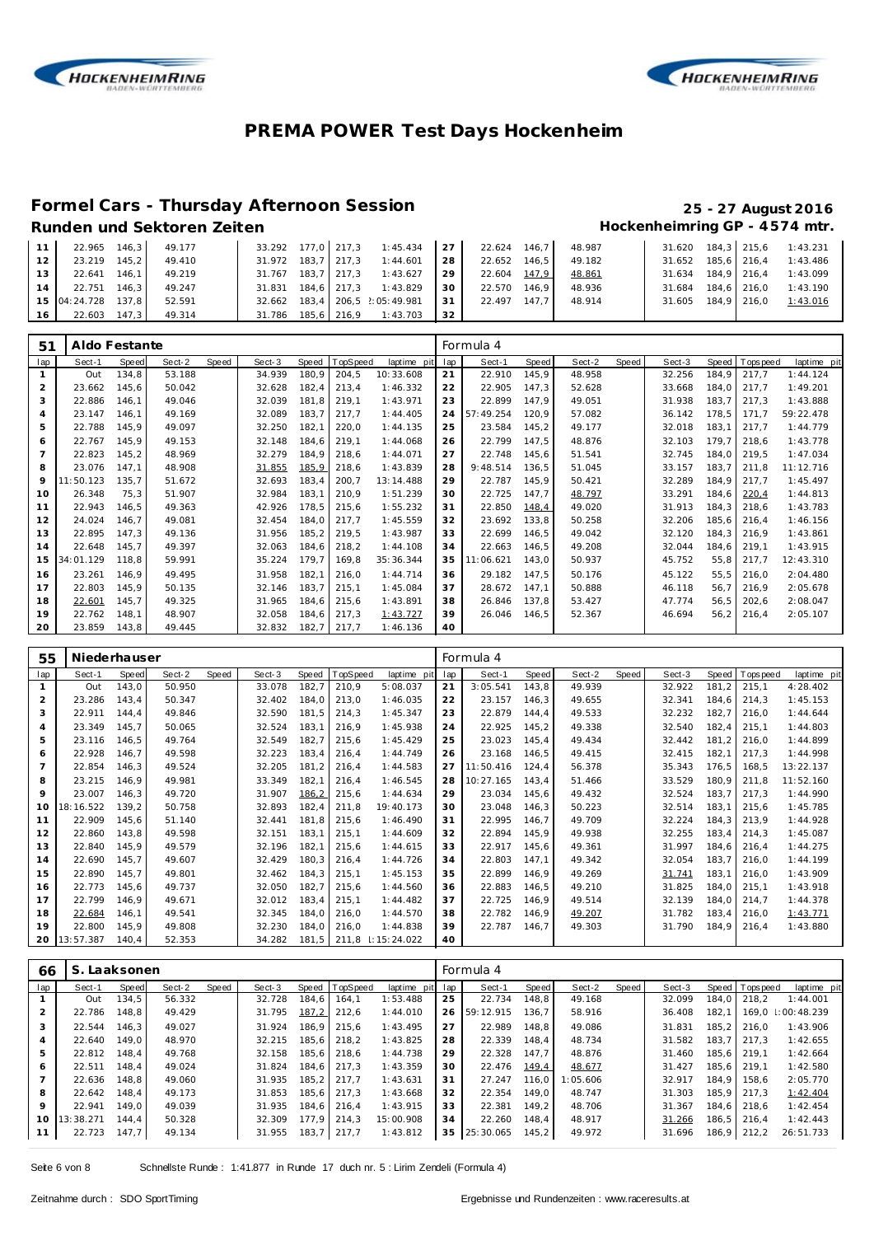



### **Formel Cars - Thursday Afternoon Session 25 - 27 August 2016**

# Runden und Sektoren Zeiten **Mateuraliste Einer Einer Einer Eine** Einer Hockenheimring GP - 4574 mtr.

| 11 <sub>1</sub> | 22.965 146,3       |       | 49.177 |                    |             | $33.292$ 177.0 217.3 1:45.434 27 |      | 22.624       | 146.7 | 48.987 |                    | 31.620 184,3 215,6 | 1:43.231                    |
|-----------------|--------------------|-------|--------|--------------------|-------------|----------------------------------|------|--------------|-------|--------|--------------------|--------------------|-----------------------------|
| $12-12$         | 23.219             | 145.2 | 49.410 | 31.972 183.7 217.3 |             | 1:44.601                         | 28   | 22.652       | 146.5 | 49.182 | 31.652 185.6 216.4 |                    | 1:43.486                    |
| 13 <sup>1</sup> | 22.641             | 146.1 | 49.219 | 31.767             | 183.7 217.3 | 1:43.627                         | 29 I | 22.604 147.9 |       | 48.861 |                    |                    | 31.634 184.9 216.4 1:43.099 |
| 14 <sub>1</sub> | 22.751             | 146.3 | 49.247 | 31.831             | 184.6 217.3 | 1:43.829                         | 30 I | 22.570       | 146.9 | 48.936 | 31.684 184.6 216.0 |                    | 1:43.190                    |
|                 | 15 04:24.728 137,8 |       | 52.591 | 32.662             |             | 183,4 206,5 2:05:49.981          | -31  | 22.497       | 147.7 | 48.914 | 31.605 184,9 216,0 |                    | 1:43.016                    |
| 16 <sup>1</sup> | 22.603             | 147.3 | 49.314 | 31.786             | 185.6 216.9 | 1:43.703                         | 32   |              |       |        |                    |                    |                             |

| 51             | Aldo Festante |       |        |       |        |              |          |             |     | Formula 4 |       |        |       |        |        |             |             |
|----------------|---------------|-------|--------|-------|--------|--------------|----------|-------------|-----|-----------|-------|--------|-------|--------|--------|-------------|-------------|
| lap            | Sect-1        | Speed | Sect-2 | Speed | Sect-3 | <b>Speed</b> | TopSpeed | laptime pit | lap | Sect-1    | Speed | Sect-2 | Speed | Sect-3 | Speed  | T ops pee d | laptime pit |
| 1              | Out           | 134,8 | 53.188 |       | 34.939 | 180,9        | 204,5    | 10:33.608   | 21  | 22.910    | 145,9 | 48.958 |       | 32.256 | 184,9  | 217,7       | 1:44.124    |
| $\overline{2}$ | 23.662        | 145,6 | 50.042 |       | 32.628 | 182,4        | 213,4    | 1:46.332    | 22  | 22.905    | 147.3 | 52.628 |       | 33.668 | 184.0  | 217.7       | 1:49.201    |
| 3              | 22.886        | 146,1 | 49.046 |       | 32.039 | 181.8        | 219,1    | 1:43.971    | 23  | 22.899    | 147,9 | 49.051 |       | 31.938 | 183,7  | 217.3       | 1:43.888    |
| $\overline{4}$ | 23.147        | 146,1 | 49.169 |       | 32.089 | 183,7        | 217.7    | 1:44.405    | 24  | 57:49.254 | 120.9 | 57.082 |       | 36.142 | 178,5  | 171,7       | 59:22.478   |
| 5              | 22.788        | 145,9 | 49.097 |       | 32.250 | 182,1        | 220,0    | 1:44.135    | 25  | 23.584    | 145,2 | 49.177 |       | 32.018 | 183,1  | 217.7       | 1:44.779    |
| 6              | 22.767        | 145.9 | 49.153 |       | 32.148 | 184.6        | 219.1    | 1:44.068    | 26  | 22.799    | 147.5 | 48.876 |       | 32.103 | 179.7  | 218.6       | 1:43.778    |
| $\overline{7}$ | 22.823        | 145,2 | 48.969 |       | 32.279 | 184,9        | 218,6    | 1:44.071    | 27  | 22.748    | 145,6 | 51.541 |       | 32.745 | 184.0  | 219,5       | 1:47.034    |
| 8              | 23.076        | 147.1 | 48.908 |       | 31.855 | 185,9        | 218,6    | 1:43.839    | 28  | 9:48.514  | 136.5 | 51.045 |       | 33.157 | 183,7  | 211.8       | 11:12.716   |
| 9              | 11:50.123     | 135,7 | 51.672 |       | 32.693 | 183,4        | 200,7    | 13:14.488   | 29  | 22.787    | 145,9 | 50.421 |       | 32.289 | 184.9  | 217.7       | 1:45.497    |
| 10             | 26.348        | 75,3  | 51.907 |       | 32.984 | 183,1        | 210,9    | 1:51.239    | 30  | 22.725    | 147.7 | 48.797 |       | 33.291 | 184,6  | 220,4       | 1:44.813    |
| 11             | 22.943        | 146,5 | 49.363 |       | 42.926 | 178,5        | 215,6    | 1:55.232    | 31  | 22.850    | 148,4 | 49.020 |       | 31.913 | 184, 3 | 218.6       | 1:43.783    |
| 12             | 24.024        | 146,7 | 49.081 |       | 32.454 | 184,0        | 217.7    | 1:45.559    | 32  | 23.692    | 133,8 | 50.258 |       | 32.206 | 185,6  | 216.4       | 1:46.156    |
| 13             | 22.895        | 147,3 | 49.136 |       | 31.956 | 185,2        | 219,5    | 1:43.987    | 33  | 22.699    | 146,5 | 49.042 |       | 32.120 | 184.3  | 216.9       | 1:43.861    |
| 14             | 22.648        | 145.7 | 49.397 |       | 32.063 | 184.6        | 218,2    | 1:44.108    | 34  | 22.663    | 146.5 | 49.208 |       | 32.044 | 184,6  | 219.1       | 1:43.915    |
| 15             | 34:01.129     | 118,8 | 59.991 |       | 35.224 | 179,7        | 169,8    | 35:36.344   | 35  | 11:06.621 | 143.0 | 50.937 |       | 45.752 | 55,8   | 217,7       | 12:43.310   |
| 16             | 23.261        | 146,9 | 49.495 |       | 31.958 | 182,1        | 216,0    | 1:44.714    | 36  | 29.182    | 147,5 | 50.176 |       | 45.122 | 55,5   | 216.0       | 2:04.480    |
| 17             | 22.803        | 145,9 | 50.135 |       | 32.146 | 183,7        | 215,1    | 1:45.084    | 37  | 28.672    | 147,1 | 50.888 |       | 46.118 | 56,7   | 216.9       | 2:05.678    |
| 18             | 22.601        | 145,7 | 49.325 |       | 31.965 | 184,6        | 215,6    | 1:43.891    | 38  | 26.846    | 137,8 | 53.427 |       | 47.774 | 56,5   | 202.6       | 2:08.047    |
| 19             | 22.762        | 148,1 | 48.907 |       | 32.058 | 184,6        | 217,3    | 1:43.727    | 39  | 26.046    | 146.5 | 52.367 |       | 46.694 | 56, 2  | 216.4       | 2:05.107    |
| 20             | 23.859        | 143,8 | 49.445 |       | 32.832 | 182,7        | 217,7    | 1:46.136    | 40  |           |       |        |       |        |        |             |             |

| 55  | Niederhauser |       |        |       |        |       |          |             |     | Formula 4 |       |        |       |        |        |          |             |
|-----|--------------|-------|--------|-------|--------|-------|----------|-------------|-----|-----------|-------|--------|-------|--------|--------|----------|-------------|
| lap | Sect-1       | Speed | Sect-2 | Speed | Sect-3 | Speed | TopSpeed | laptime pit | lap | Sect-1    | Speed | Sect-2 | Speed | Sect-3 | Speed  | Topspeed | laptime pit |
|     | Out          | 143,0 | 50.950 |       | 33.078 | 182,7 | 210,9    | 5:08.037    | 21  | 3:05.541  | 143,8 | 49.939 |       | 32.922 | 181,2  | 215,1    | 4:28.402    |
| 2   | 23.286       | 143,4 | 50.347 |       | 32.402 | 184,0 | 213,0    | 1:46.035    | 22  | 23.157    | 146,3 | 49.655 |       | 32.341 | 184,6  | 214.3    | 1:45.153    |
| 3   | 22.911       | 144,4 | 49.846 |       | 32.590 | 181,5 | 214,3    | 1:45.347    | 23  | 22.879    | 144,4 | 49.533 |       | 32.232 | 182,7  | 216,0    | 1:44.644    |
| 4   | 23.349       | 145,7 | 50.065 |       | 32.524 | 183,1 | 216,9    | 1:45.938    | 24  | 22.925    | 145,2 | 49.338 |       | 32.540 | 182,4  | 215,1    | 1:44.803    |
| 5   | 23.116       | 146,5 | 49.764 |       | 32.549 | 182,7 | 215,6    | 1:45.429    | 25  | 23.023    | 145,4 | 49.434 |       | 32.442 | 181.2  | 216,0    | 1:44.899    |
| 6   | 22.928       | 146,7 | 49.598 |       | 32.223 | 183,4 | 216.4    | 1:44.749    | 26  | 23.168    | 146.5 | 49.415 |       | 32.415 | 182.1  | 217.3    | 1:44.998    |
|     | 22.854       | 146,3 | 49.524 |       | 32.205 | 181,2 | 216,4    | 1:44.583    | 27  | 11:50.416 | 124,4 | 56.378 |       | 35.343 | 176,5  | 168,5    | 13:22.137   |
| 8   | 23.215       | 146.9 | 49.981 |       | 33.349 | 182,7 | 216.4    | 1:46.545    | 28  | 10:27.165 | 143.4 | 51.466 |       | 33.529 | 180,9  | 211,8    | 11:52.160   |
| 9   | 23.007       | 146.3 | 49.720 |       | 31.907 | 186,2 | 215,6    | 1:44.634    | 29  | 23.034    | 145.6 | 49.432 |       | 32.524 | 183,7  | 217.3    | 1:44.990    |
| 10  | 18:16.522    | 139,2 | 50.758 |       | 32.893 | 182,4 | 211,8    | 19:40.173   | 30  | 23.048    | 146.3 | 50.223 |       | 32.514 | 183,1  | 215.6    | 1:45.785    |
| 11  | 22.909       | 145,6 | 51.140 |       | 32.441 | 181.8 | 215,6    | 1:46.490    | 31  | 22.995    | 146.7 | 49.709 |       | 32.224 | 184, 3 | 213.9    | 1:44.928    |
| 12  | 22.860       | 143,8 | 49.598 |       | 32.151 | 183,7 | 215,1    | 1:44.609    | 32  | 22.894    | 145,9 | 49.938 |       | 32.255 | 183,4  | 214.3    | 1:45.087    |
| 13  | 22.840       | 145,9 | 49.579 |       | 32.196 | 182,7 | 215,6    | 1:44.615    | 33  | 22.917    | 145,6 | 49.361 |       | 31.997 | 184,6  | 216.4    | 1:44.275    |
| 14  | 22.690       | 145,7 | 49.607 |       | 32.429 | 180,3 | 216,4    | 1:44.726    | 34  | 22.803    | 147,1 | 49.342 |       | 32.054 | 183,7  | 216.0    | 1:44.199    |
| 15  | 22.890       | 145.7 | 49.801 |       | 32.462 | 184.3 | 215,1    | 1:45.153    | 35  | 22.899    | 146.9 | 49.269 |       | 31.741 | 183.1  | 216.0    | 1:43.909    |
| 16  | 22.773       | 145,6 | 49.737 |       | 32.050 | 182,7 | 215,6    | 1:44.560    | 36  | 22.883    | 146,5 | 49.210 |       | 31.825 | 184.0  | 215,1    | 1:43.918    |
| 17  | 22.799       | 146,9 | 49.671 |       | 32.012 | 183,4 | 215,1    | 1:44.482    | 37  | 22.725    | 146.9 | 49.514 |       | 32.139 | 184,0  | 214,7    | 1:44.378    |
| 18  | 22.684       | 146,1 | 49.541 |       | 32.345 | 184.0 | 216.0    | 1:44.570    | 38  | 22.782    | 146,9 | 49.207 |       | 31.782 | 183,4  | 216.0    | 1:43.771    |
| 19  | 22.800       | 145,9 | 49.808 |       | 32.230 | 184,0 | 216,0    | 1:44.838    | 39  | 22.787    | 146.7 | 49.303 |       | 31.790 | 184.9  | 216.4    | 1:43.880    |
| 20  | 13:57.387    | 140.4 | 52.353 |       | 34.282 | 181,5 | 211,8    | 1:15:24.022 | 40  |           |       |        |       |        |        |          |             |

| 66       | S.        | Laaksonen |        |       |        |       |                |                 |    | Formula 4 |       |          |       |        |       |                 |             |
|----------|-----------|-----------|--------|-------|--------|-------|----------------|-----------------|----|-----------|-------|----------|-------|--------|-------|-----------------|-------------|
| lap      | Sect-1    | Speed     | Sect-2 | Speed | Sect-3 |       | Speed TopSpeed | laptime pit lap |    | Sect-1    | Speed | Sect-2   | Speed | Sect-3 |       | Speed Tops peed | laptime pit |
|          | Out       | 134.5     | 56.332 |       | 32.728 | 184.6 | 164.1          | 1:53.488        | 25 | 22.734    | 148.8 | 49.168   |       | 32.099 | 184.0 | 218.2           | 1:44.001    |
|          | 22.786    | 148.8     | 49.429 |       | 31.795 | 187,2 | 212,6          | 1:44.010        | 26 | 59:12.915 | 136.7 | 58.916   |       | 36.408 | 182.1 | 169.0           | :00:48.239  |
| 3        | 22.544    | 146.3     | 49.027 |       | 31.924 | 186.9 | 215.6          | 1:43.495        | 27 | 22.989    | 148.8 | 49.086   |       | 31.831 | 185.2 | 216.0           | 1:43.906    |
| 4        | 22.640    | 149.0     | 48.970 |       | 32.215 | 185.6 | 218.2          | 1:43.825        | 28 | 22.339    | 148.4 | 48.734   |       | 31.582 | 183.7 | 217.3           | 1:42.655    |
| 5        | 22.812    | 148.4     | 49.768 |       | 32.158 | 185.6 | 218.6          | 1:44.738        | 29 | 22.328    | 147.7 | 48.876   |       | 31.460 | 185.6 | 219.1           | 1:42.664    |
| 6        | 22.511    | 148.4     | 49.024 |       | 31.824 | 184.6 | 217.3          | 1:43.359        | 30 | 22.476    | 149,4 | 48.677   |       | 31.427 | 185.6 | 219.1           | 1:42.580    |
|          | 22.636    | 148.8     | 49.060 |       | 31.935 | 185.2 | 217.7          | 1:43.631        | 31 | 27.247    | 116.0 | 1:05.606 |       | 32.917 | 184.9 | 158.6           | 2:05.770    |
| 8        | 22.642    | 148.4     | 49.173 |       | 31.853 | 185.6 | 217.3          | 1:43.668        | 32 | 22.354    | 149.0 | 48.747   |       | 31.303 | 185.9 | 217.3           | 1:42.404    |
| 9        | 22.941    | 149.0     | 49.039 |       | 31.935 | 184.6 | 216,4          | 1:43.915        | 33 | 22.381    | 149.2 | 48.706   |       | 31.367 | 184.6 | 218.6           | 1:42.454    |
| $10^{-}$ | 13:38.271 | 144.4     | 50.328 |       | 32.309 | 177.9 | 214.3          | 15:00.908       | 34 | 22.260    | 148.4 | 48.917   |       | 31.266 | 186.5 | 216.4           | 1:42.443    |
| 11       | 22.723    | 147.7     | 49.134 |       | 31.955 | 183,7 | 217.7          | 1:43.812        | 35 | 25:30.065 | 145,2 | 49.972   |       | 31.696 | 186,9 | 212,2           | 26:51.733   |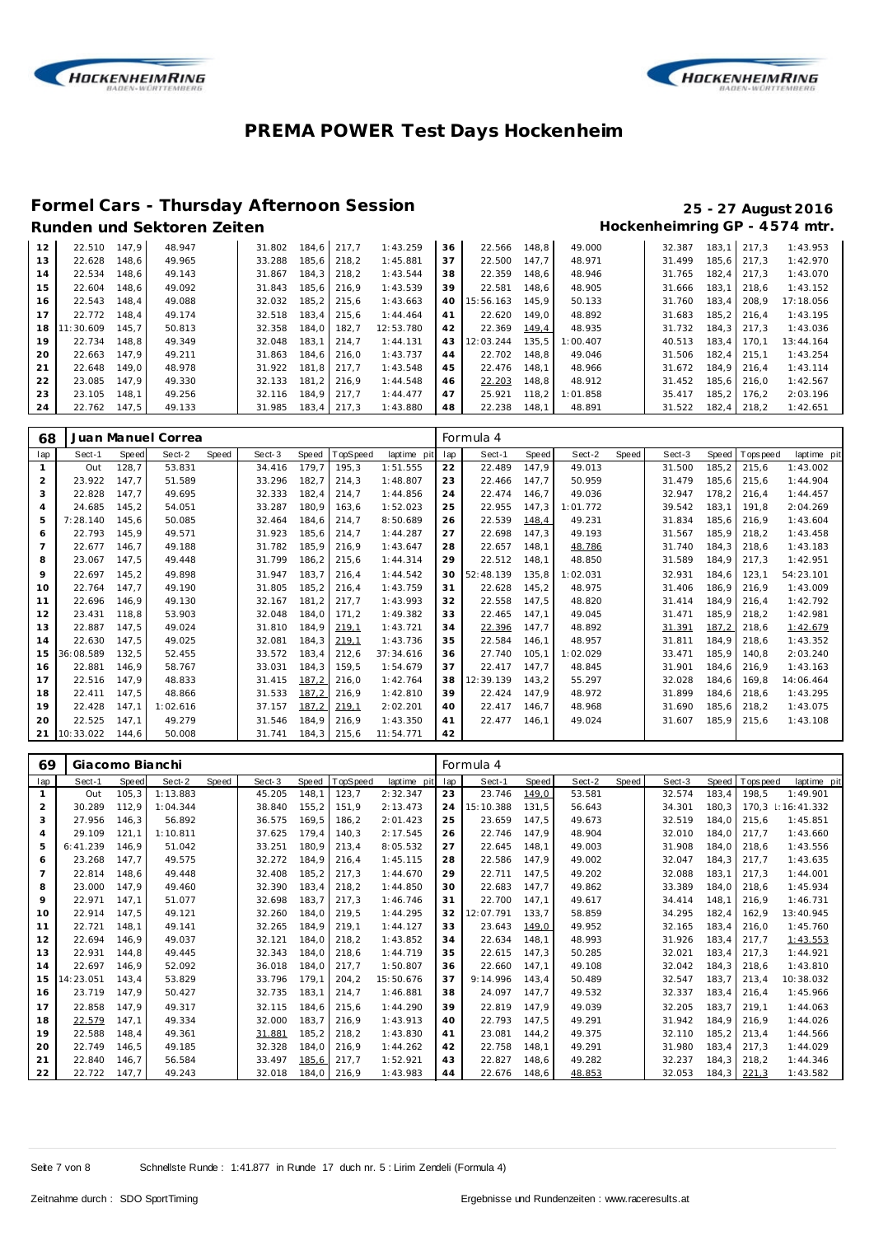



## **Formel Cars - Thursday Afternoon Session 25 - 27 August 2016**

| 12 | 22.510    | 147.9 | 48.947 | 31.802 | 184.6 | 217.7 | 1:43.259  | 36 | 22.566    | 148.8 | 49.000   | 32.387 | 183.1 | 217.3       | 1:43.953  |
|----|-----------|-------|--------|--------|-------|-------|-----------|----|-----------|-------|----------|--------|-------|-------------|-----------|
| 13 | 22.628    | 148.6 | 49.965 | 33.288 | 185.6 | 218.2 | 1:45.881  | 37 | 22.500    | 147.7 | 48.971   | 31.499 |       | 185.6 217.3 | 1:42.970  |
| 14 | 22.534    | 148.6 | 49.143 | 31.867 | 184.3 | 218.2 | 1:43.544  | 38 | 22.359    | 148.6 | 48.946   | 31.765 | 182.4 | 217.3       | 1:43.070  |
| 15 | 22.604    | 148.6 | 49.092 | 31.843 | 185.6 | 216.9 | 1:43.539  | 39 | 22.581    | 148.6 | 48.905   | 31.666 | 183.1 | 218.6       | 1:43.152  |
| 16 | 22.543    | 148.4 | 49.088 | 32.032 | 185.2 | 215.6 | 1:43.663  | 40 | 15:56.163 | 145.9 | 50.133   | 31.760 | 183.4 | 208.9       | 17:18.056 |
| 17 | 22.772    | 148.4 | 49.174 | 32.518 | 183.4 | 215.6 | 1:44.464  | 41 | 22.620    | 149.0 | 48.892   | 31.683 | 185.2 | 216.4       | 1:43.195  |
| 18 | 11:30.609 | 145.7 | 50.813 | 32.358 | 184.0 | 182.7 | 12:53.780 | 42 | 22.369    | 149.4 | 48.935   | 31.732 |       | 184.3 217.3 | 1:43.036  |
| 19 | 22.734    | 148.8 | 49.349 | 32.048 | 183.1 | 214.7 | 1:44.131  | 43 | 12:03.244 | 135.5 | : 00.407 | 40.513 | 183.4 | 170.1       | 13:44.164 |
| 20 | 22.663    | 147.9 | 49.211 | 31.863 | 184.6 | 216.0 | 1:43.737  | 44 | 22.702    | 148.8 | 49.046   | 31.506 | 182.4 | 215.1       | 1:43.254  |
| 21 | 22.648    | 149.0 | 48.978 | 31.922 | 181.8 | 217.7 | 1:43.548  | 45 | 22.476    | 148.1 | 48.966   | 31.672 |       | 184.9 216.4 | 1:43.114  |
| 22 | 23.085    | 147.9 | 49.330 | 32.133 | 181.2 | 216.9 | 1:44.548  | 46 | 22.203    | 148.8 | 48.912   | 31.452 |       | 185.6 216.0 | 1:42.567  |
| 23 | 23.105    | 148.1 | 49.256 | 32.116 | 184.9 | 217.7 | 1:44.477  | 47 | 25.921    | 118.2 | 1:01.858 | 35.417 | 185.2 | 176.2       | 2:03.196  |
| 24 | 22.762    | 147.5 | 49.133 | 31.985 | 183.4 | 217.3 | 1:43.880  | 48 | 22.238    | 148.1 | 48.891   | 31.522 | 182.4 | 218.2       | 1:42.651  |

| 68             |           |              | Juan Manuel Correa |       |        |       |          |             |     | Formula 4 |       |          |       |        |       |          |             |
|----------------|-----------|--------------|--------------------|-------|--------|-------|----------|-------------|-----|-----------|-------|----------|-------|--------|-------|----------|-------------|
| lap            | Sect-1    | <b>Speed</b> | Sect-2             | Speed | Sect-3 | Speed | TopSpeed | laptime pit | lap | Sect-1    | Speed | Sect-2   | Speed | Sect-3 | Speed | Topspeed | laptime pit |
| $\mathbf{1}$   | Out       | 128,7        | 53.831             |       | 34.416 | 179,7 | 195,3    | 1:51.555    | 22  | 22.489    | 147,9 | 49.013   |       | 31.500 | 185,2 | 215,6    | 1:43.002    |
| 2              | 23.922    | 147.7        | 51.589             |       | 33.296 | 182,7 | 214.3    | 1:48.807    | 23  | 22.466    | 147.7 | 50.959   |       | 31.479 | 185.6 | 215.6    | 1:44.904    |
| 3              | 22.828    | 147.7        | 49.695             |       | 32.333 | 182.4 | 214,7    | 1:44.856    | 24  | 22.474    | 146.7 | 49.036   |       | 32.947 | 178.2 | 216.4    | 1:44.457    |
| $\overline{4}$ | 24.685    | 145,2        | 54.051             |       | 33.287 | 180.9 | 163,6    | 1:52.023    | 25  | 22.955    | 147,3 | 1:01.772 |       | 39.542 | 183,1 | 191.8    | 2:04.269    |
| 5              | 7:28.140  | 145.6        | 50.085             |       | 32.464 | 184.6 | 214,7    | 8:50.689    | 26  | 22.539    | 148,4 | 49.231   |       | 31.834 | 185.6 | 216.9    | 1:43.604    |
| 6              | 22.793    | 145.9        | 49.571             |       | 31.923 | 185,6 | 214,7    | 1:44.287    | 27  | 22.698    | 147.3 | 49.193   |       | 31.567 | 185.9 | 218.2    | 1:43.458    |
|                | 22.677    | 146,7        | 49.188             |       | 31.782 | 185,9 | 216,9    | 1:43.647    | 28  | 22.657    | 148,1 | 48.786   |       | 31.740 | 184.3 | 218,6    | 1:43.183    |
| 8              | 23.067    | 147,5        | 49.448             |       | 31.799 | 186,2 | 215,6    | 1:44.314    | 29  | 22.512    | 148.1 | 48.850   |       | 31.589 | 184.9 | 217.3    | 1:42.951    |
| 9              | 22.697    | 145,2        | 49.898             |       | 31.947 | 183,7 | 216.4    | 1:44.542    | 30  | 52:48.139 | 135,8 | 1:02.031 |       | 32.931 | 184.6 | 123.1    | 54:23.101   |
| 10             | 22.764    | 147.7        | 49.190             |       | 31.805 | 185.2 | 216.4    | 1:43.759    | 31  | 22.628    | 145.2 | 48.975   |       | 31.406 | 186.9 | 216.9    | 1:43.009    |
| 11             | 22.696    | 146.9        | 49.130             |       | 32.167 | 181,2 | 217.7    | 1:43.993    | 32  | 22.558    | 147.5 | 48.820   |       | 31.414 | 184.9 | 216.4    | 1:42.792    |
| 12             | 23.431    | 118,8        | 53.903             |       | 32.048 | 184.0 | 171.2    | 1:49.382    | 33  | 22.465    | 147.1 | 49.045   |       | 31.471 | 185.9 | 218.2    | 1:42.981    |
| 13             | 22.887    | 147.5        | 49.024             |       | 31.810 | 184.9 | 219,1    | 1:43.721    | 34  | 22.396    | 147.7 | 48.892   |       | 31.391 | 187,2 | 218.6    | 1:42.679    |
| 14             | 22.630    | 147,5        | 49.025             |       | 32.081 | 184.3 | 219,1    | 1:43.736    | 35  | 22.584    | 146.1 | 48.957   |       | 31.811 | 184.9 | 218.6    | 1:43.352    |
| 15             | 36:08.589 | 132,5        | 52.455             |       | 33.572 | 183,4 | 212,6    | 37:34.616   | 36  | 27.740    | 105,1 | 1:02.029 |       | 33.471 | 185.9 | 140.8    | 2:03.240    |
| 16             | 22.881    | 146.9        | 58.767             |       | 33.031 | 184.3 | 159.5    | 1:54.679    | 37  | 22.417    | 147.7 | 48.845   |       | 31.901 | 184.6 | 216.9    | 1:43.163    |
| 17             | 22.516    | 147.9        | 48.833             |       | 31.415 | 187.2 | 216,0    | 1:42.764    | 38  | 12:39.139 | 143,2 | 55.297   |       | 32.028 | 184.6 | 169.8    | 14:06.464   |
| 18             | 22.411    | 147,5        | 48.866             |       | 31.533 | 187,2 | 216,9    | 1:42.810    | 39  | 22.424    | 147.9 | 48.972   |       | 31.899 | 184,6 | 218,6    | 1:43.295    |
| 19             | 22.428    | 147,1        | 1:02.616           |       | 37.157 | 187,2 | 219,1    | 2:02.201    | 40  | 22.417    | 146.7 | 48.968   |       | 31.690 | 185,6 | 218,2    | 1:43.075    |
| 20             | 22.525    | 147,1        | 49.279             |       | 31.546 | 184,9 | 216.9    | 1:43.350    | 41  | 22.477    | 146.1 | 49.024   |       | 31.607 | 185.9 | 215.6    | 1:43.108    |
| 21             | 10:33.022 | 144.6        | 50.008             |       | 31.741 | 184.3 | 215,6    | 11:54.771   | 42  |           |       |          |       |        |       |          |             |

| 69             | Giacomo Bianchi |        |          |       |        |       |          |             | Formula 4 |           |       |        |       |        |       |             |             |  |
|----------------|-----------------|--------|----------|-------|--------|-------|----------|-------------|-----------|-----------|-------|--------|-------|--------|-------|-------------|-------------|--|
| lap            | Sect-1          | Speed  | Sect-2   | Speed | Sect-3 | Speed | TopSpeed | laptime pit | lap       | Sect-1    | Speed | Sect-2 | Speed | Sect-3 | Speed | opspeed     | laptime pit |  |
| $\mathbf{1}$   | Out             | 105, 3 | 1:13.883 |       | 45.205 | 148.1 | 123,7    | 2:32.347    | 23        | 23.746    | 149,0 | 53.581 |       | 32.574 | 183,4 | 198.5       | 1:49.901    |  |
| $\overline{2}$ | 30.289          | 112,9  | 1:04.344 |       | 38.840 | 155,2 | 151,9    | 2:13.473    | 24        | 15:10.388 | 131.5 | 56.643 |       | 34.301 | 180.3 | 170.3       | 1:16:41.332 |  |
| 3              | 27.956          | 146,3  | 56.892   |       | 36.575 | 169,5 | 186,2    | 2:01.423    | 25        | 23.659    | 147,5 | 49.673 |       | 32.519 | 184.0 | 215.6       | 1:45.851    |  |
| $\overline{4}$ | 29.109          | 121,1  | 1:10.811 |       | 37.625 | 179.4 | 140,3    | 2:17.545    | 26        | 22.746    | 147.9 | 48.904 |       | 32.010 | 184.0 | 217.7       | 1:43.660    |  |
| 5              | 6: 41.239       | 146.9  | 51.042   |       | 33.251 | 180,9 | 213,4    | 8:05.532    | 27        | 22.645    | 148,1 | 49.003 |       | 31.908 | 184.0 | 218,6       | 1:43.556    |  |
| 6              | 23.268          | 147,7  | 49.575   |       | 32.272 | 184,9 | 216,4    | 1:45.115    | 28        | 22.586    | 147,9 | 49.002 |       | 32.047 | 184.3 | 217.7       | 1:43.635    |  |
| $\overline{7}$ | 22.814          | 148.6  | 49.448   |       | 32.408 | 185.2 | 217.3    | 1:44.670    | 29        | 22.711    | 147.5 | 49.202 |       | 32.088 | 183.1 | 217.3       | 1:44.001    |  |
| 8              | 23.000          | 147.9  | 49.460   |       | 32.390 | 183,4 | 218,2    | 1:44.850    | 30        | 22.683    | 147.7 | 49.862 |       | 33.389 | 184.0 | 218.6       | 1:45.934    |  |
| 9              | 22.971          | 147.1  | 51.077   |       | 32.698 | 183,7 | 217.3    | 1:46.746    | 31        | 22.700    | 147.1 | 49.617 |       | 34.414 | 148.1 | 216.9       | 1:46.731    |  |
| 10             | 22.914          | 147,5  | 49.121   |       | 32.260 | 184,0 | 219,5    | 1:44.295    | 32        | 12:07.791 | 133,7 | 58.859 |       | 34.295 | 182,4 | 162,9       | 13:40.945   |  |
| 11             | 22.721          | 148.1  | 49.141   |       | 32.265 | 184,9 | 219,1    | 1:44.127    | 33        | 23.643    | 149,0 | 49.952 |       | 32.165 | 183,4 | 216.0       | 1:45.760    |  |
| 12             | 22.694          | 146.9  | 49.037   |       | 32.121 | 184.0 | 218,2    | 1:43.852    | 34        | 22.634    | 148.1 | 48.993 |       | 31.926 | 183,4 | 217.7       | 1:43.553    |  |
| 13             | 22.931          | 144,8  | 49.445   |       | 32.343 | 184,0 | 218,6    | 1:44.719    | 35        | 22.615    | 147,3 | 50.285 |       | 32.021 | 183,4 | 217,3       | 1:44.921    |  |
| 14             | 22.697          | 146.9  | 52.092   |       | 36.018 | 184,0 | 217,7    | 1:50.807    | 36        | 22.660    | 147,1 | 49.108 |       | 32.042 | 184.3 | 218,6       | 1:43.810    |  |
| 15             | 14:23.051       | 143.4  | 53.829   |       | 33.796 | 179.1 | 204,2    | 15:50.676   | 37        | 9:14.996  | 143,4 | 50.489 |       | 32.547 | 183.7 | 213.4       | 10:38.032   |  |
| 16             | 23.719          | 147.9  | 50.427   |       | 32.735 | 183,1 | 214,7    | 1:46.881    | 38        | 24.097    | 147,7 | 49.532 |       | 32.337 | 183,4 | 216,4       | 1:45.966    |  |
| 17             | 22.858          | 147.9  | 49.317   |       | 32.115 | 184,6 | 215,6    | 1:44.290    | 39        | 22.819    | 147.9 | 49.039 |       | 32.205 | 183.7 | 219.1       | 1:44.063    |  |
| 18             | 22.579          | 147.1  | 49.334   |       | 32.000 | 183,7 | 216,9    | 1:43.913    | 40        | 22.793    | 147,5 | 49.291 |       | 31.942 | 184.9 | 216.9       | 1:44.026    |  |
| 19             | 22.588          | 148,4  | 49.361   |       | 31.881 | 185,2 | 218,2    | 1:43.830    | 41        | 23.081    | 144,2 | 49.375 |       | 32.110 | 185,2 | 213,4       | 1:44.566    |  |
| 20             | 22.749          | 146.5  | 49.185   |       | 32.328 | 184,0 | 216,9    | 1:44.262    | 42        | 22.758    | 148,1 | 49.291 |       | 31.980 | 183.4 | 217.3       | 1:44.029    |  |
| 21             | 22.840          | 146.7  | 56.584   |       | 33.497 | 185,6 | 217.7    | 1:52.921    | 43        | 22.827    | 148.6 | 49.282 |       | 32.237 | 184.3 | 218.2       | 1:44.346    |  |
| 22             | 22.722          | 147.7  | 49.243   |       | 32.018 | 184,0 | 216,9    | 1:43.983    | 44        | 22.676    | 148,6 | 48.853 |       | 32.053 |       | 184,3 221,3 | 1:43.582    |  |